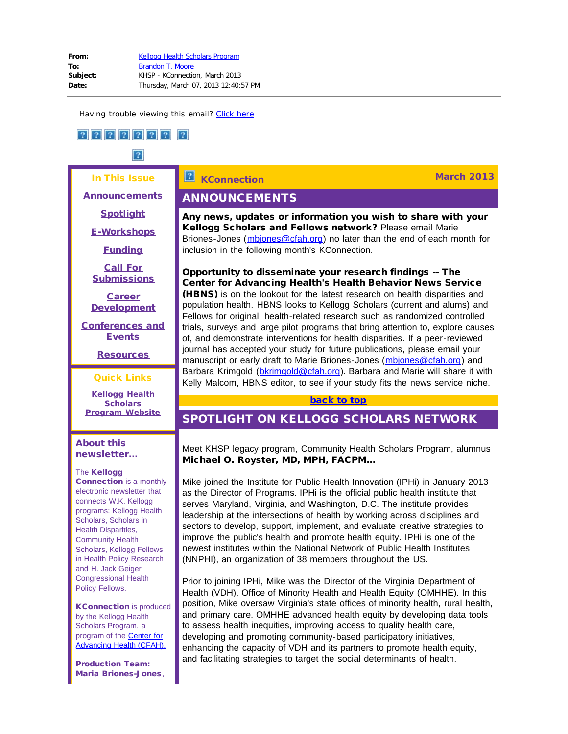In This Issue

<span id="page-0-2"></span><span id="page-0-0"></span>**[Announcements](#page-0-0)** 

**[Spotlight](#page-0-1)** 

[E-Workshops](#page-1-0)

**[Funding](#page-2-0)** 

[Call For](#page-2-1)

**[Submissions](#page-2-1)** 

**[Career](#page-7-0)** [Development](#page-7-0)

<span id="page-0-3"></span>[Conferences and](#page-17-0) **[Events](#page-17-0)** 

**[Resources](#page-21-0)** 

Quick Links

**[Kellogg Health](http://r20.rs6.net/tn.jsp?e=001ZfYkCAKYxvQLzkx3xtTRKGVBZWMaF22zanXaVW6L2DrWmKMv4EgCppYx3bIWsIU9_W9Kqj1juaJVr5Cb7x1EXG5qLePtBZ53_bfrYuAUADTvbpzuo9svzh0np7JF6ZuE) [Scholars](http://r20.rs6.net/tn.jsp?e=001ZfYkCAKYxvQLzkx3xtTRKGVBZWMaF22zanXaVW6L2DrWmKMv4EgCppYx3bIWsIU9_W9Kqj1juaJVr5Cb7x1EXG5qLePtBZ53_bfrYuAUADTvbpzuo9svzh0np7JF6ZuE) [Program](http://r20.rs6.net/tn.jsp?e=001ZfYkCAKYxvQLzkx3xtTRKGVBZWMaF22zanXaVW6L2DrWmKMv4EgCppYx3bIWsIU9_W9Kqj1juaJVr5Cb7x1EXG5qLePtBZ53_bfrYuAUADTvbpzuo9svzh0np7JF6ZuE) Website**

### <span id="page-0-1"></span>About this newsletter...

## The Kellogg

Connection is a monthly electronic newsletter that connects W.K. Kellogg programs: Kellogg Health Scholars, Scholars in Health Disparities, Community Health Scholars, Kellogg Fellows in Health Policy Research and H. Jack Geiger Congressional Health Policy Fellows.

**KConnection** is produced by the Kellogg Health Scholars Program, a program of the **Center for** [Advancing Health \(CFAH\).](http://r20.rs6.net/tn.jsp?e=001ZfYkCAKYxvT2wO52F-KF8sVoOw32-V8FJnabw_-GwtsXrE0MJQbvM_5cJGUlvHspaBSIefh9IvP1QZd4HbnRQVNvJTergngam_0OaOGR-pY=)

Production Team: Maria Briones-Jones,

# **KConnection March 2013**

# ANNOUNCEMENTS

Any news, updates or information you wish to share with your Kellogg Scholars and Fellows network? Please email Marie Briones-Jones ([mbjones@cfah.org\)](mailto:mbjones@cfah.org) no later than the end of each month for inclusion in the following month's KConnection.

Opportunity to disseminate your research findings -- The Center for Advancing Health's Health Behavior News Service (HBNS) is on the lookout for the latest research on health disparities and population health. HBNS looks to Kellogg Scholars (current and alums) and Fellows for original, health-related research such as randomized controlled trials, surveys and large pilot programs that bring attention to, explore causes of, and demonstrate interventions for health disparities. If a peer-reviewed journal has accepted your study for future publications, please email your manuscript or early draft to Marie Briones-Jones (mbiones@cfah.org) and Barbara Krimgold ([bkrimgold@cfah.org](mailto:bkrimgold@cfah.org)). Barbara and Marie will share it with Kelly Malcom, HBNS editor, to see if your study fits the news service niche.

### **[back to top](#page-0-2)**

# SPOTLIGHT ON KELLOGG SCHOLARS NETWORK

Meet KHSP legacy program, Community Health Scholars Program, alumnus Michael O. Royster, MD, MPH, FACPM...

Mike joined the Institute for Public Health Innovation (IPHi) in January 2013 as the Director of Programs. IPHi is the official public health institute that serves Maryland, Virginia, and Washington, D.C. The institute provides leadership at the intersections of health by working across disciplines and sectors to develop, support, implement, and evaluate creative strategies to improve the public's health and promote health equity. IPHi is one of the newest institutes within the National Network of Public Health Institutes (NNPHI), an organization of 38 members throughout the US.

Prior to joining IPHi, Mike was the Director of the Virginia Department of Health (VDH), Office of Minority Health and Health Equity (OMHHE). In this position, Mike oversaw Virginia's state offices of minority health, rural health, and primary care. OMHHE advanced health equity by developing data tools to assess health inequities, improving access to quality health care, developing and promoting community-based participatory initiatives, enhancing the capacity of VDH and its partners to promote health equity, and facilitating strategies to target the social determinants of health.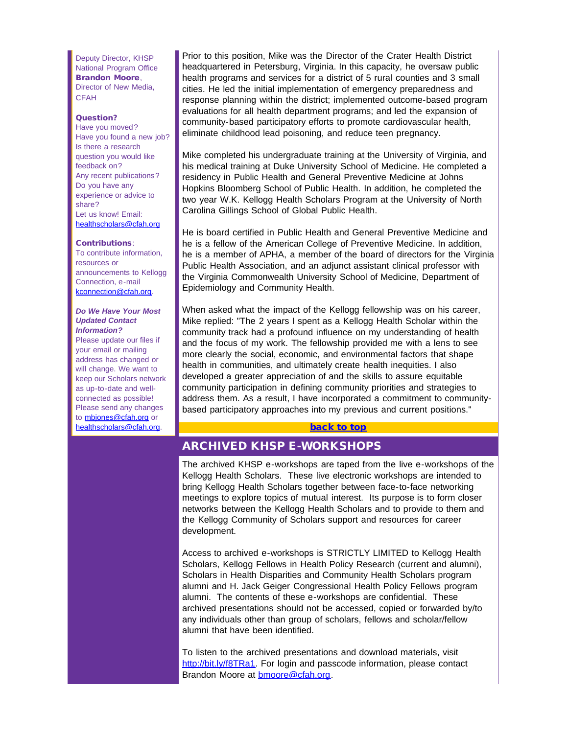Deputy Director, KHSP National Program Office Brandon Moore, Director of New Media, **CFAH** 

#### Question?

Have you moved? Have you found a new job? Is there a research question you would like feedback on? Any recent publications? Do you have any experience or advice to share? Let us know! Email: [healthscholars@cfah.org](mailto:healthscholars@cfah.org)

#### Contributions:

<span id="page-1-0"></span>To contribute information, resources or announcements to Kellogg Connection, e-mail [kconnection@cfah.org.](mailto:kconnection@cfah.org)

#### *Do We Have Your Most Updated Contact Information?*

Please update our files if your email or mailing address has changed or will change. We want to keep our Scholars network as up-to-date and wellconnected as possible! Please send any changes to **mbjones@cfah.org** or [healthscholars@cfah.org.](mailto:healthscholars@cfah.org)

Prior to this position, Mike was the Director of the Crater Health District headquartered in Petersburg, Virginia. In this capacity, he oversaw public health programs and services for a district of 5 rural counties and 3 small cities. He led the initial implementation of emergency preparedness and response planning within the district; implemented outcome-based program evaluations for all health department programs; and led the expansion of community-based participatory efforts to promote cardiovascular health, eliminate childhood lead poisoning, and reduce teen pregnancy.

Mike completed his undergraduate training at the University of Virginia, and his medical training at Duke University School of Medicine. He completed a residency in Public Health and General Preventive Medicine at Johns Hopkins Bloomberg School of Public Health. In addition, he completed the two year W.K. Kellogg Health Scholars Program at the University of North Carolina Gillings School of Global Public Health.

He is board certified in Public Health and General Preventive Medicine and he is a fellow of the American College of Preventive Medicine. In addition, he is a member of APHA, a member of the board of directors for the Virginia Public Health Association, and an adjunct assistant clinical professor with the Virginia Commonwealth University School of Medicine, Department of Epidemiology and Community Health.

When asked what the impact of the Kellogg fellowship was on his career, Mike replied: "The 2 years I spent as a Kellogg Health Scholar within the community track had a profound influence on my understanding of health and the focus of my work. The fellowship provided me with a lens to see more clearly the social, economic, and environmental factors that shape health in communities, and ultimately create health inequities. I also developed a greater appreciation of and the skills to assure equitable community participation in defining community priorities and strategies to address them. As a result, I have incorporated a commitment to communitybased participatory approaches into my previous and current positions."

[back to top](#page-0-3)

# ARCHIVED KHSP E-WORKSHOPS

The archived KHSP e-workshops are taped from the live e-workshops of the Kellogg Health Scholars. These live electronic workshops are intended to bring Kellogg Health Scholars together between face-to-face networking meetings to explore topics of mutual interest. Its purpose is to form closer networks between the Kellogg Health Scholars and to provide to them and the Kellogg Community of Scholars support and resources for career development.

Access to archived e-workshops is STRICTLY LIMITED to Kellogg Health Scholars, Kellogg Fellows in Health Policy Research (current and alumni), Scholars in Health Disparities and Community Health Scholars program alumni and H. Jack Geiger Congressional Health Policy Fellows program alumni. The contents of these e-workshops are confidential. These archived presentations should not be accessed, copied or forwarded by/to any individuals other than group of scholars, fellows and scholar/fellow alumni that have been identified.

To listen to the archived presentations and download materials, visit [http://bit.ly/f8TRa1](http://r20.rs6.net/tn.jsp?e=001ZfYkCAKYxvTqWw832BO27ciybmCMiXgY-fqCwn_n1ud6K1QKBj1KziL3SxN_Y6GQUs_R_gdSgYnCxd9re7B0MqJTqLWfihaOgbD8PxMx6b7q9E7_EdF15tWpVaWu-FOytNxyoxw13cI=). For login and passcode information, please contact Brandon Moore at [bmoore@cfah.org](mailto:bmoore@cfah.org).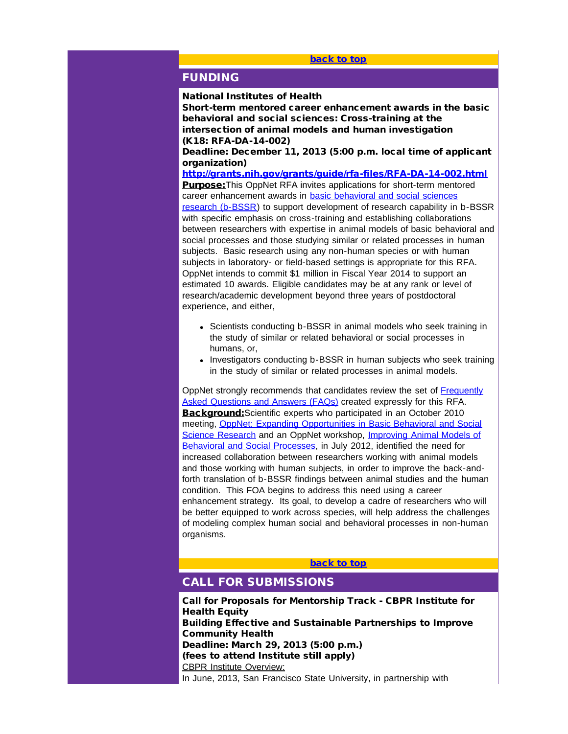#### [back to top](#page-0-3)

# <span id="page-2-0"></span>FUNDING

#### National Institutes of Health

Short-term mentored career enhancement awards in the basic behavioral and social sciences: Cross-training at the intersection of animal models and human investigation (K18: RFA-DA-14-002)

Deadline: December 11, 2013 (5:00 p.m. local time of applicant organization)

[http://grants.nih.gov/grants/guide/rfa-files/RFA-DA-14-002.html](http://r20.rs6.net/tn.jsp?e=001ZfYkCAKYxvR8l2p6wb9WvLm8vkovEbG8PK9QTKoO3f4Mc6u0Cjcl_lnBic2U0wrcUjeIRYup7q0wnNVshYa6Tm8oA8PuqprWvjsKkvMXVwxsPVUObkTGinvUU76ZSuw6ox0UviDqUZRTDsTlTkuBZlnEtKwxxupcLklesXPX6vY=) Purpose:This OppNet RFA invites applications for short-term mentored career enhancement awards in [basic behavioral and social sciences](http://r20.rs6.net/tn.jsp?e=001ZfYkCAKYxvT6E4nhFDchZvr-umgSC7irw3UDlrDsdljWLrWuj8NOZtPmrlRGkOSyTKS_FRdgFCEWiLF2eCloSKhC-fP6ounkVKTulmfMJeZnJ6Jn-fzEggeM_mKxtyPMx7nmFhMXWpGymM3MSy5arkYWuKryWvmZbJ7_-MfQZK3ssBT58h83_mw2ZJx8z9pi) [research \(b-BSSR](http://r20.rs6.net/tn.jsp?e=001ZfYkCAKYxvT6E4nhFDchZvr-umgSC7irw3UDlrDsdljWLrWuj8NOZtPmrlRGkOSyTKS_FRdgFCEWiLF2eCloSKhC-fP6ounkVKTulmfMJeZnJ6Jn-fzEggeM_mKxtyPMx7nmFhMXWpGymM3MSy5arkYWuKryWvmZbJ7_-MfQZK3ssBT58h83_mw2ZJx8z9pi)) to support development of research capability in b-BSSR with specific emphasis on cross-training and establishing collaborations between researchers with expertise in animal models of basic behavioral and social processes and those studying similar or related processes in human subjects. Basic research using any non-human species or with human subjects in laboratory- or field-based settings is appropriate for this RFA. OppNet intends to commit \$1 million in Fiscal Year 2014 to support an estimated 10 awards. Eligible candidates may be at any rank or level of research/academic development beyond three years of postdoctoral experience, and either,

- Scientists conducting b-BSSR in animal models who seek training in the study of similar or related behavioral or social processes in humans, or,
- Investigators conducting b-BSSR in human subjects who seek training in the study of similar or related processes in animal models.

<span id="page-2-1"></span>OppNet strongly recommends that candidates review the set of [Frequently](http://r20.rs6.net/tn.jsp?e=001ZfYkCAKYxvQS2_1X8-JZpg6jbNqMk8jYLaMxauqpxjDLkSoRb0uS_Sh8UpOv6npkMkjp6uH1oyFjfRBQvPs9b8YIArzjrJSpT0eiLuyV9a2qC2D8GU8MSSnuJ3bE_yWNmA2CwyFCValyTQu-3ls-hw==) [Asked Questions and Answers \(FAQs\)](http://r20.rs6.net/tn.jsp?e=001ZfYkCAKYxvQS2_1X8-JZpg6jbNqMk8jYLaMxauqpxjDLkSoRb0uS_Sh8UpOv6npkMkjp6uH1oyFjfRBQvPs9b8YIArzjrJSpT0eiLuyV9a2qC2D8GU8MSSnuJ3bE_yWNmA2CwyFCValyTQu-3ls-hw==) created expressly for this RFA. **Background:**Scientific experts who participated in an October 2010 meeting, [OppNet: Expanding Opportunities in Basic Behavioral and Social](http://r20.rs6.net/tn.jsp?e=001ZfYkCAKYxvSkcbUiBnGujtdDVEVEqMrqiozngZKG-8Frp2IoiHLH3WNahfN_IHhtt7TNQ5LkNZ4ibm_f0Dxb-exEsOnyayScKqWIe51V-j7V-0_Ye-0l1CsVnKd3axCq) [Science Research](http://r20.rs6.net/tn.jsp?e=001ZfYkCAKYxvSkcbUiBnGujtdDVEVEqMrqiozngZKG-8Frp2IoiHLH3WNahfN_IHhtt7TNQ5LkNZ4ibm_f0Dxb-exEsOnyayScKqWIe51V-j7V-0_Ye-0l1CsVnKd3axCq) and an OppNet workshop, [Improving Animal Models of](http://r20.rs6.net/tn.jsp?e=001ZfYkCAKYxvSXv4w0oj3TwIB9sRJ9iXL1cxJep-DVgX8JKaKejEfQoDBhUVw2CE3jUtBJUU8ukAL-sb3OPAYdHLusD7S1mLtZZE0gPyZc1mQEi9v02VVNGngpyH2aCdgd) [Behavioral and Social Processes](http://r20.rs6.net/tn.jsp?e=001ZfYkCAKYxvSXv4w0oj3TwIB9sRJ9iXL1cxJep-DVgX8JKaKejEfQoDBhUVw2CE3jUtBJUU8ukAL-sb3OPAYdHLusD7S1mLtZZE0gPyZc1mQEi9v02VVNGngpyH2aCdgd), in July 2012, identified the need for increased collaboration between researchers working with animal models and those working with human subjects, in order to improve the back-andforth translation of b-BSSR findings between animal studies and the human condition. This FOA begins to address this need using a career enhancement strategy. Its goal, to develop a cadre of researchers who will be better equipped to work across species, will help address the challenges of modeling complex human social and behavioral processes in non-human organisms.

#### [back to top](#page-0-3)

## CALL FOR SUBMISSIONS

Call for Proposals for Mentorship Track - CBPR Institute for Health Equity Building Effective and Sustainable Partnerships to Improve Community Health Deadline: March 29, 2013 (5:00 p.m.) (fees to attend Institute still apply) CBPR Institute Overview: In June, 2013, San Francisco State University, in partnership with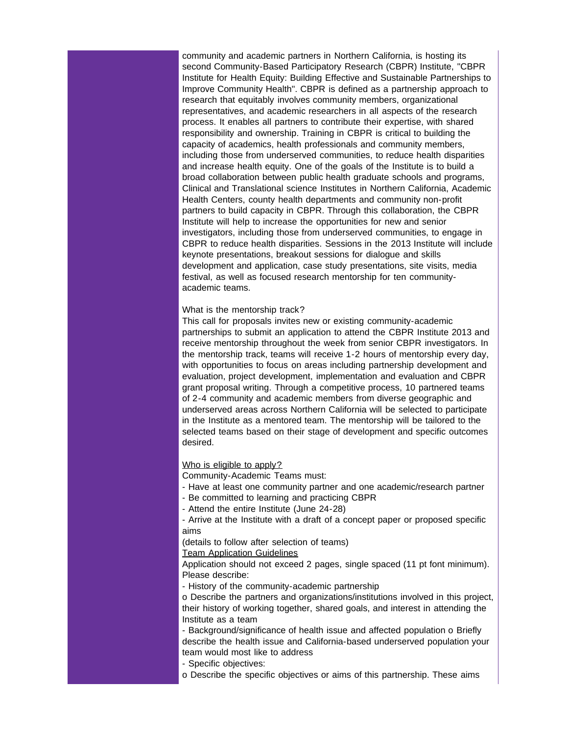community and academic partners in Northern California, is hosting its second Community-Based Participatory Research (CBPR) Institute, "CBPR Institute for Health Equity: Building Effective and Sustainable Partnerships to Improve Community Health". CBPR is defined as a partnership approach to research that equitably involves community members, organizational representatives, and academic researchers in all aspects of the research process. It enables all partners to contribute their expertise, with shared responsibility and ownership. Training in CBPR is critical to building the capacity of academics, health professionals and community members, including those from underserved communities, to reduce health disparities and increase health equity. One of the goals of the Institute is to build a broad collaboration between public health graduate schools and programs, Clinical and Translational science Institutes in Northern California, Academic Health Centers, county health departments and community non-profit partners to build capacity in CBPR. Through this collaboration, the CBPR Institute will help to increase the opportunities for new and senior investigators, including those from underserved communities, to engage in CBPR to reduce health disparities. Sessions in the 2013 Institute will include keynote presentations, breakout sessions for dialogue and skills development and application, case study presentations, site visits, media festival, as well as focused research mentorship for ten communityacademic teams.

#### What is the mentorship track?

This call for proposals invites new or existing community-academic partnerships to submit an application to attend the CBPR Institute 2013 and receive mentorship throughout the week from senior CBPR investigators. In the mentorship track, teams will receive 1-2 hours of mentorship every day, with opportunities to focus on areas including partnership development and evaluation, project development, implementation and evaluation and CBPR grant proposal writing. Through a competitive process, 10 partnered teams of 2-4 community and academic members from diverse geographic and underserved areas across Northern California will be selected to participate in the Institute as a mentored team. The mentorship will be tailored to the selected teams based on their stage of development and specific outcomes desired.

#### Who is eligible to apply?

Community-Academic Teams must:

- Have at least one community partner and one academic/research partner
- Be committed to learning and practicing CBPR
- Attend the entire Institute (June 24-28)

- Arrive at the Institute with a draft of a concept paper or proposed specific aims

(details to follow after selection of teams)

Team Application Guidelines

Application should not exceed 2 pages, single spaced (11 pt font minimum). Please describe:

- History of the community-academic partnership

o Describe the partners and organizations/institutions involved in this project, their history of working together, shared goals, and interest in attending the Institute as a team

- Background/significance of health issue and affected population o Briefly describe the health issue and California-based underserved population your team would most like to address

- Specific objectives:

o Describe the specific objectives or aims of this partnership. These aims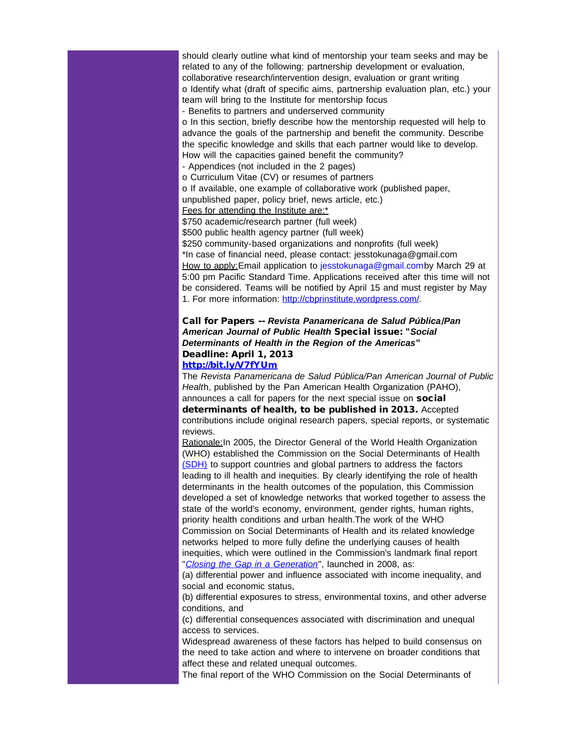should clearly outline what kind of mentorship your team seeks and may be related to any of the following: partnership development or evaluation, collaborative research/intervention design, evaluation or grant writing o Identify what (draft of specific aims, partnership evaluation plan, etc.) your team will bring to the Institute for mentorship focus - Benefits to partners and underserved community o In this section, briefly describe how the mentorship requested will help to advance the goals of the partnership and benefit the community. Describe the specific knowledge and skills that each partner would like to develop. How will the capacities gained benefit the community? - Appendices (not included in the 2 pages) o Curriculum Vitae (CV) or resumes of partners o If available, one example of collaborative work (published paper, unpublished paper, policy brief, news article, etc.) Fees for attending the Institute are:\* \$750 academic/research partner (full week)

\$500 public health agency partner (full week) \$250 community-based organizations and nonprofits (full week) \*In case of financial need, please contact: jesstokunaga@gmail.com How to apply: Email application to jesstokunaga@gmail.comby March 29 at 5:00 pm Pacific Standard Time. Applications received after this time will not be considered. Teams will be notified by April 15 and must register by May 1. For more information: [http://cbprinstitute.wordpress.com/.](http://r20.rs6.net/tn.jsp?e=001ZfYkCAKYxvQtjI5EvGfzXa2ZuuaqedGT1dETHsjbHfhjenA5G56mXKcByVnKjdqaG_ni4vQFjjpUD_wo_RmrSv6MS40HZ7vojYtr6738fWk-e6ICL7Z4rNh5FOkJ3HjL)

# Call for Papers -- *Revista Panamericana de Salud Pública*/*Pan American Journal of Public Health* Special issue: "*Social Determinants of Health in the Region of the Americas*" Deadline: April 1, 2013

#### [http://bit.ly/V7fYUm](http://r20.rs6.net/tn.jsp?e=001ZfYkCAKYxvSDkyedllSp4ZxQxrpjYD-f24tKzK7ndGJ9KVX8U2xPfCAQsd52Gy-cDF2HGgEvptjcVOBnX7BxOHr3ElxLBzz_gk_d34eF8lQ=)

The *Revista Panamericana de Salud Pública/Pan American Journal of Public Healt*h, published by the Pan American Health Organization (PAHO), announces a call for papers for the next special issue on social determinants of health, to be published in 2013. Accepted contributions include original research papers, special reports, or systematic reviews.

Rationale:In 2005, the Director General of the World Health Organization (WHO) established the Commission on the Social Determinants of Health [\(SDH\)](http://r20.rs6.net/tn.jsp?e=001ZfYkCAKYxvS1s2nI2dhUCzWNrSvM33DekFQIbJoupTKlX2EIdEzmZJo3tLbwwydVO8uIIetB3tAT6V2syNB1vzbxOBLgMgNOsbcx7vn3zgY=) to support countries and global partners to address the factors leading to ill health and inequities. By clearly identifying the role of health determinants in the health outcomes of the population, this Commission developed a set of knowledge networks that worked together to assess the state of the world's economy, environment, gender rights, human rights, priority health conditions and urban health.The work of the WHO Commission on Social Determinants of Health and its related knowledge networks helped to more fully define the underlying causes of health inequities, which were outlined in the Commission's landmark final report "*[Closing the Gap in a Generation](http://r20.rs6.net/tn.jsp?e=001ZfYkCAKYxvS8A2b5eWB78EsSrLPVM2DrWlfh2ZSRe2_OfrVOVJfFRfu3T0AAuJyIgbgoosQuyINOBh3oQ5ESrLUNX1YJQnwFUnkVtsCIBew=)*", launched in 2008, as:

(a) differential power and influence associated with income inequality, and social and economic status,

(b) differential exposures to stress, environmental toxins, and other adverse conditions, and

(c) differential consequences associated with discrimination and unequal access to services.

Widespread awareness of these factors has helped to build consensus on the need to take action and where to intervene on broader conditions that affect these and related unequal outcomes.

The final report of the WHO Commission on the Social Determinants of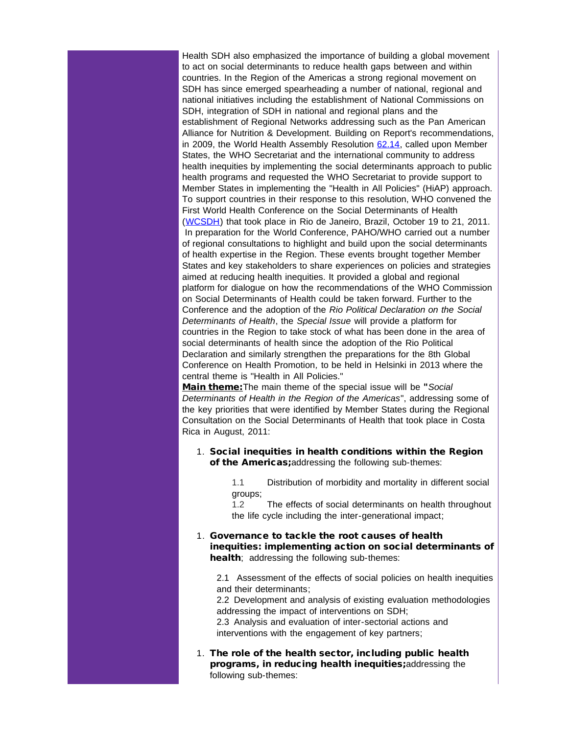Health SDH also emphasized the importance of building a global movement to act on social determinants to reduce health gaps between and within countries. In the Region of the Americas a strong regional movement on SDH has since emerged spearheading a number of national, regional and national initiatives including the establishment of National Commissions on SDH, integration of SDH in national and regional plans and the establishment of Regional Networks addressing such as the Pan American Alliance for Nutrition & Development. Building on Report's recommendations, in 2009, the World Health Assembly Resolution  $62.14$ , called upon Member States, the WHO Secretariat and the international community to address health inequities by implementing the social determinants approach to public health programs and requested the WHO Secretariat to provide support to Member States in implementing the "Health in All Policies" (HiAP) approach. To support countries in their response to this resolution, WHO convened the First World Health Conference on the Social Determinants of Health ([WCSDH](http://r20.rs6.net/tn.jsp?e=001ZfYkCAKYxvQe-7Ghr1VaWHzj51nHBO9WfzLHmTvlwje3XJbbqixtSegDhOC4ZuSEWAsoFlvLFkA0NMhkwABTgjRTR4gHf_s2HycTFzRZrd0=)) that took place in Rio de Janeiro, Brazil, October 19 to 21, 2011. In preparation for the World Conference, PAHO/WHO carried out a number of regional consultations to highlight and build upon the social determinants of health expertise in the Region. These events brought together Member States and key stakeholders to share experiences on policies and strategies aimed at reducing health inequities. It provided a global and regional platform for dialogue on how the recommendations of the WHO Commission on Social Determinants of Health could be taken forward. Further to the Conference and the adoption of the *Rio Political Declaration on the Social Determinants of Health*, the *Special Issue* will provide a platform for countries in the Region to take stock of what has been done in the area of social determinants of health since the adoption of the Rio Political Declaration and similarly strengthen the preparations for the 8th Global Conference on Health Promotion*,* to be held in Helsinki in 2013 where the central theme is "Health in All Policies."

Main theme:The main theme of the special issue will be "*Social Determinants of Health in the Region of the Americas*", addressing some of the key priorities that were identified by Member States during the Regional Consultation on the Social Determinants of Health that took place in Costa Rica in August, 2011:

1. Social inequities in health conditions within the Region of the Americas;addressing the following sub-themes:

> 1.1 Distribution of morbidity and mortality in different social groups;

> 1.2 The effects of social determinants on health throughout the life cycle including the inter-generational impact;

1. Governance to tackle the root causes of health inequities: implementing action on social determinants of **health**; addressing the following sub-themes:

2.1 Assessment of the effects of social policies on health inequities and their determinants;

2.2 Development and analysis of existing evaluation methodologies addressing the impact of interventions on SDH;

2.3 Analysis and evaluation of inter-sectorial actions and interventions with the engagement of key partners;

1. The role of the health sector, including public health programs, in reducing health inequities;addressing the following sub-themes: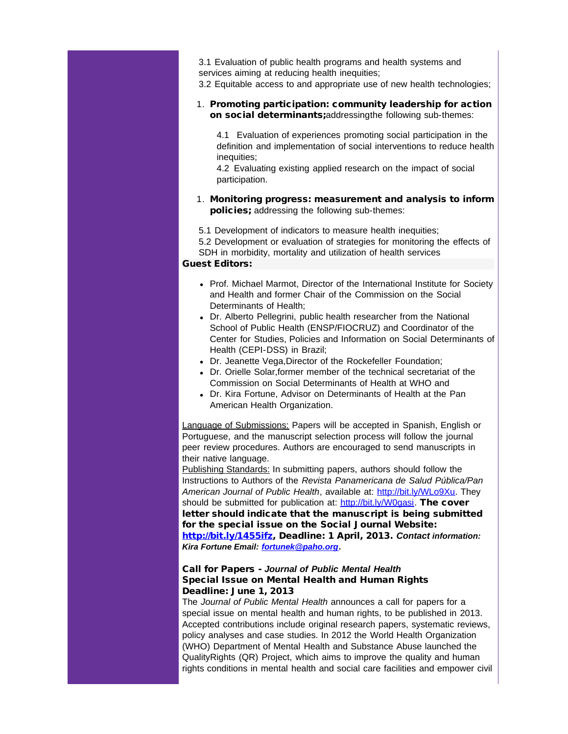3.1 Evaluation of public health programs and health systems and services aiming at reducing health inequities;

3.2 Equitable access to and appropriate use of new health technologies;

1. Promoting participation: community leadership for action on social determinants;addressingthe following sub-themes:

4.1 Evaluation of experiences promoting social participation in the definition and implementation of social interventions to reduce health inequities;

4.2 Evaluating existing applied research on the impact of social participation.

1. Monitoring progress: measurement and analysis to inform policies; addressing the following sub-themes:

5.1 Development of indicators to measure health inequities; 5.2 Development or evaluation of strategies for monitoring the effects of SDH in morbidity, mortality and utilization of health services

#### Guest Editors:

- Prof. Michael Marmot, Director of the International Institute for Society and Health and former Chair of the Commission on the Social Determinants of Health;
- Dr. Alberto Pellegrini, public health researcher from the National School of Public Health (ENSP/FIOCRUZ) and Coordinator of the Center for Studies, Policies and Information on Social Determinants of Health (CEPI-DSS) in Brazil;
- Dr. Jeanette Vega,Director of the Rockefeller Foundation;
- Dr. Orielle Solar,former member of the technical secretariat of the Commission on Social Determinants of Health at WHO and
- Dr. Kira Fortune, Advisor on Determinants of Health at the Pan American Health Organization.

Language of Submissions: Papers will be accepted in Spanish, English or Portuguese, and the manuscript selection process will follow the journal peer review procedures. Authors are encouraged to send manuscripts in their native language.

Publishing Standards: In submitting papers, authors should follow the Instructions to Authors of the *Revista Panamericana de Salud Pública/Pan American Journal of Public Health*, available at: [http://bit.ly/WLo9Xu.](http://r20.rs6.net/tn.jsp?e=001ZfYkCAKYxvTdg73jZk352eQ9HTAayLKdtifHW4Uy3Zcy2xGiEn-PgRaTPYlHoyYqr_XXU5QlcJNhqqnolJF9R-GF5XdL4LyXWeMz-N8IkQs=) They should be submitted for publication at: [http://bit.ly/W0gasi.](http://r20.rs6.net/tn.jsp?e=001ZfYkCAKYxvQpsyV1Qj7Gl0LzQ9pxlogGlPp89H71NFF8ENYPwaeoydT8mKY2MgFpUFvva25132SjzIvH7oyoX8QWvfO2nyjaD4FlgJmMWms=) The cover letter should indicate that the manuscript is being submitted for the special issue on the Social Journal Website: [http://bit.ly/1455ifz](http://r20.rs6.net/tn.jsp?e=001ZfYkCAKYxvRVLmelk8b3PkPBy3Euz3O35LtkCeGD9FZrcQX9AK9qJDdI9Yz_JeJUSNRJLKJiz1LVva9tETi_5UBZSIw3Toz7kxZbpG0XzdE=), Deadline: 1 April, 2013. *Contact information: Kira Fortune Email: [fortunek@paho.org](mailto:fortunek@paho.org).*

## Call for Papers - *Journal of Public Mental Health* Special Issue on Mental Health and Human Rights Deadline: June 1, 2013

The *Journal of Public Mental Health* announces a call for papers for a special issue on mental health and human rights, to be published in 2013. Accepted contributions include original research papers, systematic reviews, policy analyses and case studies. In 2012 the World Health Organization (WHO) Department of Mental Health and Substance Abuse launched the QualityRights (QR) Project, which aims to improve the quality and human rights conditions in mental health and social care facilities and empower civil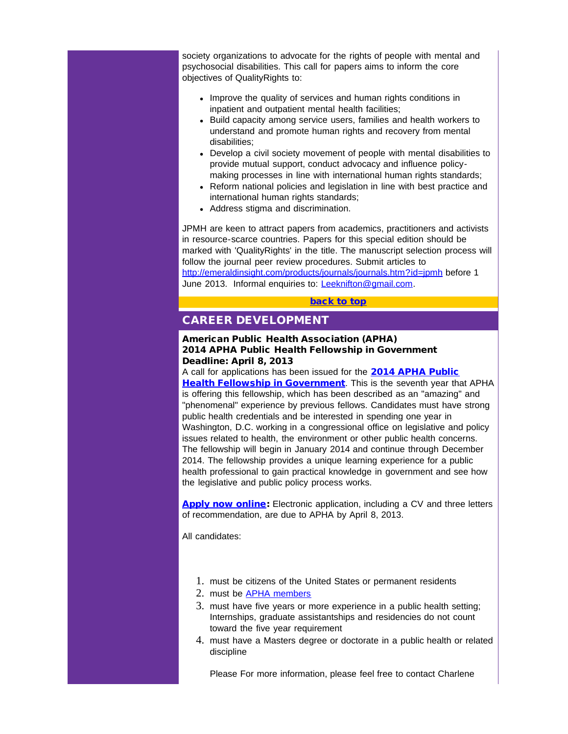society organizations to advocate for the rights of people with mental and psychosocial disabilities. This call for papers aims to inform the core objectives of QualityRights to:

- Improve the quality of services and human rights conditions in inpatient and outpatient mental health facilities;
- Build capacity among service users, families and health workers to understand and promote human rights and recovery from mental disabilities;
- Develop a civil society movement of people with mental disabilities to provide mutual support, conduct advocacy and influence policymaking processes in line with international human rights standards;
- Reform national policies and legislation in line with best practice and international human rights standards;
- Address stigma and discrimination.

<span id="page-7-0"></span>JPMH are keen to attract papers from academics, practitioners and activists in resource-scarce countries. Papers for this special edition should be marked with 'QualityRights' in the title. The manuscript selection process will follow the journal peer review procedures. Submit articles to [http://emeraldinsight.com/products/journals/journals.htm?id=jpmh](http://r20.rs6.net/tn.jsp?e=001ZfYkCAKYxvTMgOTAeDS57d1hK3kVKlWaEEE0Gz3JnDCWSP12WJR5tQZVF_5_icFT6WgAwZZkgWkAcuclbJm-j0aMbOh0i-ztBd0_i1zM-UVwRHgVR61-huSfpEC_YJJkLLHVts19jPD4K8oBRicZ75lmG-YmBPEv_7MwPL7ljws=) before 1 June 2013. Informal enquiries to: [Leeknifton@gmail.com](mailto:Leeknifton@gmail.com).

[back to top](#page-0-3)

# CAREER DEVELOPMENT

#### American Public Health Association (APHA) 2014 APHA Public Health Fellowship in Government Deadline: April 8, 2013

A call for applications has been issued for the **[2014 APHA Public](http://r20.rs6.net/tn.jsp?e=001ZfYkCAKYxvSrI1gZ5izZoQBnYJ06KMc5_yCMlYeoLXpzqYWxTGiqa5bZkMKSiAZbNbdSrDYKjh4LwSlzzzASn3GBq0W8H-h-GNt-q3_PJQ0LvlaGaVb2vLzowE4jbHZx2yVnTFFyN8GKYyWtdOj1fU_SPlsGj_Em) [Health Fellowship in Government](http://r20.rs6.net/tn.jsp?e=001ZfYkCAKYxvSrI1gZ5izZoQBnYJ06KMc5_yCMlYeoLXpzqYWxTGiqa5bZkMKSiAZbNbdSrDYKjh4LwSlzzzASn3GBq0W8H-h-GNt-q3_PJQ0LvlaGaVb2vLzowE4jbHZx2yVnTFFyN8GKYyWtdOj1fU_SPlsGj_Em)**. This is the seventh year that APHA is offering this fellowship, which has been described as an "amazing" and "phenomenal" experience by previous fellows. Candidates must have strong public health credentials and be interested in spending one year in Washington, D.C. working in a congressional office on legislative and policy issues related to health, the environment or other public health concerns. The fellowship will begin in January 2014 and continue through December 2014. The fellowship provides a unique learning experience for a public health professional to gain practical knowledge in government and see how the legislative and public policy process works.

[Apply now online](http://r20.rs6.net/tn.jsp?e=001ZfYkCAKYxvQ7ssnxdey27ZMHFD4dYFj3MWF9jbce-r0gu9VDSmAU8lyE2GSmR4Fi-6aEMhHbAqJJNdlJqVa8G8fJTzjvamO4gZhGyBjMae6OP7W_v4Yf9XHHz3AlG4lrRtYxw_3hg2_rDgHBWaDW9c3zQuT0AAcG): Electronic application, including a CV and three letters of recommendation, are due to APHA by April 8, 2013.

All candidates:

- 1. must be citizens of the United States or permanent residents
- 2. must be **APHA** members
- 3. must have five years or more experience in a public health setting; Internships, graduate assistantships and residencies do not count toward the five year requirement
- 4. must have a Masters degree or doctorate in a public health or related discipline

Please For more information, please feel free to contact Charlene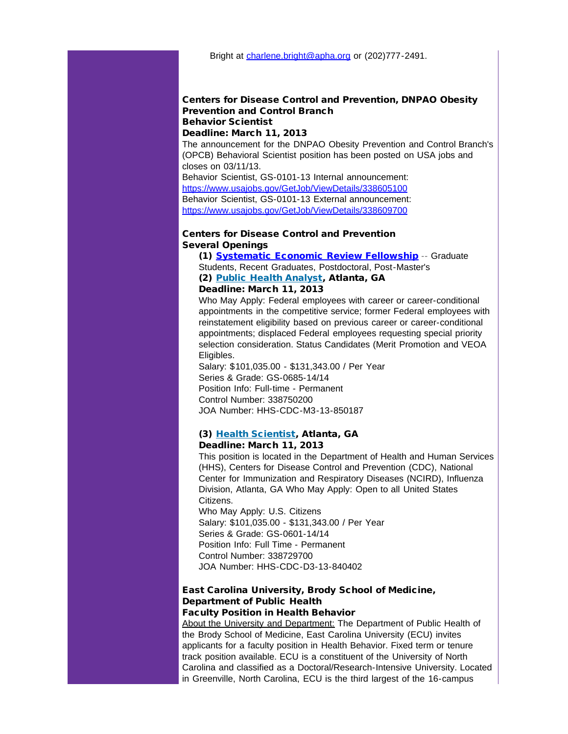#### Centers for Disease Control and Prevention, DNPAO Obesity Prevention and Control Branch Behavior Scientist

#### Deadline: March 11, 2013

The announcement for the DNPAO Obesity Prevention and Control Branch's (OPCB) Behavioral Scientist position has been posted on USA jobs and closes on 03/11/13.

Behavior Scientist, GS-0101-13 Internal announcement: [https://www.usajobs.gov/GetJob/ViewDetails/338605100](http://r20.rs6.net/tn.jsp?e=001ZfYkCAKYxvSKabeJnoQFUwA1HRWEj80JHljpjlNtKY3S2scXgTCTEgYpkEpYChE30GdcbSesH9GOzmb_owQUaD1uwDoJOZYGEVfE-0_CrOLi_UZjWmp3JzbGBiSNvf2CgHkmunnRZZFowxDmzWfx7A==) Behavior Scientist, GS-0101-13 External announcement: [https://www.usajobs.gov/GetJob/ViewDetails/338609700](http://r20.rs6.net/tn.jsp?e=001ZfYkCAKYxvTVs3qH6NCwssTUlOugS3UK_MB9FG3hJ1qaIWR_EeaFXrVTLUkCtKHm6sKcdJ0cHiAD0hKD35ihqzCs89QP2p7aAEYHZOqcOIsVK_YA0gOFMVfLHqMgu4EIScMw28qEu81yLThDaZpS7Q==)

## Centers for Disease Control and Prevention Several Openings

(1) **[Systematic Economic Review Fellowship](http://r20.rs6.net/tn.jsp?e=001ZfYkCAKYxvSzL3CrCX_rNsVwqDOFas_uo2K9H8ibbKiEKWKDyGBijUbKM40PTJjjywJhgflhbY2pLzGPzJHJJdgF8oP5i88SocOTAC8d4m8-r2VjRGnCMhZEh4Ynq55un4JDQ9F-dKVhdElj86fQkNs1Z200POHjnDYcBQftnEQSaIyICz9ZJw==)** -- Graduate

Students, Recent Graduates, Postdoctoral, Post-Master's (2) [Public Health Analyst,](http://r20.rs6.net/tn.jsp?e=001ZfYkCAKYxvTGLGFCXiy6ePgIwZcKf7Q0pjzGEOwJkTySuXxvR-SSSU5VrXBmRf8-DDTuvCcFANc80mCZoxZz6-VXzLVp9UpiqA-vjN-fNMNjCO0SKhmcUEcHNWr5nISv3LhC60DNWzMLEMgk7OY_9Q==) Atlanta, GA

#### Deadline: March 11, 2013

Who May Apply: Federal employees with career or career-conditional appointments in the competitive service; former Federal employees with reinstatement eligibility based on previous career or career-conditional appointments; displaced Federal employees requesting special priority selection consideration. Status Candidates (Merit Promotion and VEOA Eligibles.

Salary: \$101,035.00 - \$131,343.00 / Per Year Series & Grade: GS-0685-14/14 Position Info: Full-time - Permanent Control Number: 338750200 JOA Number: HHS-CDC-M3-13-850187

#### (3) [Health Scientist,](http://r20.rs6.net/tn.jsp?e=001ZfYkCAKYxvQ2t7aghhxIzJLwztL8rUbMJaUlogsdFMnxhE3vTGGGaB-Sn-BQfZYOG2pUG9lcVM_FJBtAzyPlo1IaY2Xn9squTekWSKsJpOCQMLnk2pCC232YAASENoxO02WWXtEk1QwzyC0X5nY59g==) Atlanta, GA Deadline: March 11, 2013

This position is located in the Department of Health and Human Services (HHS), Centers for Disease Control and Prevention (CDC), National Center for Immunization and Respiratory Diseases (NCIRD), Influenza Division, Atlanta, GA Who May Apply: Open to all United States Citizens.

Who May Apply: U.S. Citizens Salary: \$101,035.00 - \$131,343.00 / Per Year Series & Grade: GS-0601-14/14 Position Info: Full Time - Permanent Control Number: 338729700 JOA Number: HHS-CDC-D3-13-840402

# East Carolina University, Brody School of Medicine, Department of Public Health

## Faculty Position in Health Behavior

About the University and Department: The Department of Public Health of the Brody School of Medicine, East Carolina University (ECU) invites applicants for a faculty position in Health Behavior. Fixed term or tenure track position available. ECU is a constituent of the University of North Carolina and classified as a Doctoral/Research-Intensive University. Located in Greenville, North Carolina, ECU is the third largest of the 16-campus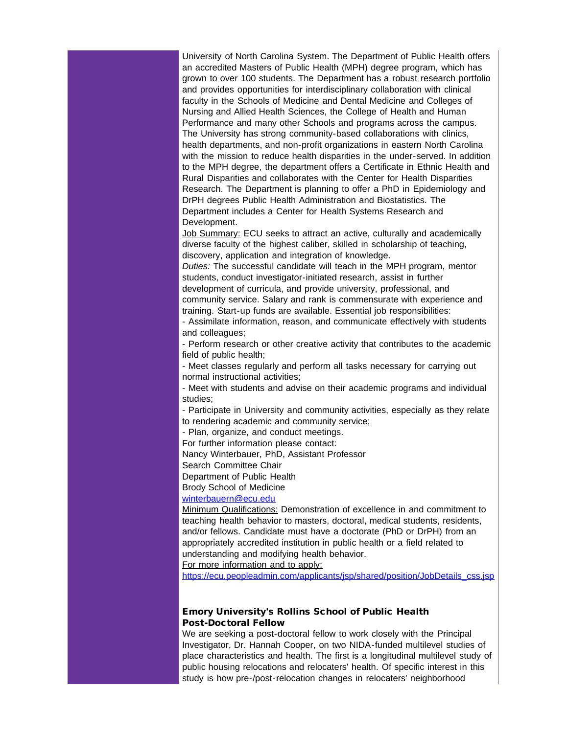University of North Carolina System. The Department of Public Health offers an accredited Masters of Public Health (MPH) degree program, which has grown to over 100 students. The Department has a robust research portfolio and provides opportunities for interdisciplinary collaboration with clinical faculty in the Schools of Medicine and Dental Medicine and Colleges of Nursing and Allied Health Sciences, the College of Health and Human Performance and many other Schools and programs across the campus. The University has strong community-based collaborations with clinics, health departments, and non-profit organizations in eastern North Carolina with the mission to reduce health disparities in the under-served. In addition to the MPH degree, the department offers a Certificate in Ethnic Health and Rural Disparities and collaborates with the Center for Health Disparities Research. The Department is planning to offer a PhD in Epidemiology and DrPH degrees Public Health Administration and Biostatistics. The Department includes a Center for Health Systems Research and Development.

Job Summary: ECU seeks to attract an active, culturally and academically diverse faculty of the highest caliber, skilled in scholarship of teaching, discovery, application and integration of knowledge.

*Duties:* The successful candidate will teach in the MPH program, mentor students, conduct investigator-initiated research, assist in further development of curricula, and provide university, professional, and community service. Salary and rank is commensurate with experience and training. Start-up funds are available. Essential job responsibilities:

- Assimilate information, reason, and communicate effectively with students and colleagues;

- Perform research or other creative activity that contributes to the academic field of public health;

- Meet classes regularly and perform all tasks necessary for carrying out normal instructional activities;

- Meet with students and advise on their academic programs and individual studies;

- Participate in University and community activities, especially as they relate to rendering academic and community service;

- Plan, organize, and conduct meetings.

For further information please contact:

Nancy Winterbauer, PhD, Assistant Professor

Search Committee Chair

Department of Public Health

Brody School of Medicine

[winterbauern@ecu.edu](mailto:winterbauern@ecu.edu)

Minimum Qualifications: Demonstration of excellence in and commitment to teaching health behavior to masters, doctoral, medical students, residents, and/or fellows. Candidate must have a doctorate (PhD or DrPH) from an appropriately accredited institution in public health or a field related to understanding and modifying health behavior.

For more information and to apply:

[https://ecu.peopleadmin.com/applicants/jsp/shared/position/JobDetails\\_css.jsp](http://r20.rs6.net/tn.jsp?e=001ZfYkCAKYxvTlfLD6eBSAkZhVsfrwA-Pcg9g49xK1lwFYlYX4Z0tbogifBJcxHYDagcEv1PFyYkIaSddrTRQLIrT-MLDwEInM6uQ7ZcVnJfD29calMEH3hCRtXogiWULnLOL57_VqW8vVrWZ59mTlaEoy9UT2Zer2ogs9WThF1IwyEUcTivczadqn7cpWc-0R)

## Emory University's Rollins School of Public Health Post-Doctoral Fellow

We are seeking a post-doctoral fellow to work closely with the Principal Investigator, Dr. Hannah Cooper, on two NIDA-funded multilevel studies of place characteristics and health. The first is a longitudinal multilevel study of public housing relocations and relocaters' health. Of specific interest in this study is how pre-/post-relocation changes in relocaters' neighborhood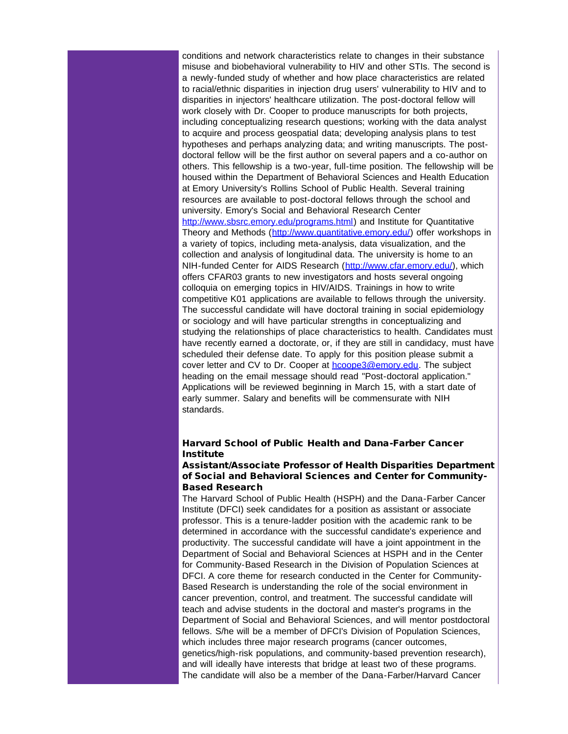conditions and network characteristics relate to changes in their substance misuse and biobehavioral vulnerability to HIV and other STIs. The second is a newly-funded study of whether and how place characteristics are related to racial/ethnic disparities in injection drug users' vulnerability to HIV and to disparities in injectors' healthcare utilization. The post-doctoral fellow will work closely with Dr. Cooper to produce manuscripts for both projects, including conceptualizing research questions; working with the data analyst to acquire and process geospatial data; developing analysis plans to test hypotheses and perhaps analyzing data; and writing manuscripts. The postdoctoral fellow will be the first author on several papers and a co-author on others. This fellowship is a two-year, full-time position. The fellowship will be housed within the Department of Behavioral Sciences and Health Education at Emory University's Rollins School of Public Health. Several training resources are available to post-doctoral fellows through the school and university. Emory's Social and Behavioral Research Center [http://www.sbsrc.emory.edu/programs.html](http://r20.rs6.net/tn.jsp?e=001ZfYkCAKYxvTv7ejA9wUv24_TsJTERzErHBXfgP0Nk0-py4Kki7xikDho-2yMDKkBvxd5WEPsyiv56u15lj6FgrUQgur9YY0pb2kfEtAXupgPFuVMYqqQEfwFUHORO-pI)) and Institute for Quantitative Theory and Methods ([http://www.quantitative.emory.edu/](http://r20.rs6.net/tn.jsp?e=001ZfYkCAKYxvQMxPdDFBmCmxGX8ro3pijdpy9tyHpWk718b-vMhhtOUn4F0kSkhmqPHBW1xiOah4_N6mLlozJwLmQU99rNrAPW5VmlcLs75Z_4A93QyiTFt1d_Nd2ef5J9)) offer workshops in a variety of topics, including meta-analysis, data visualization, and the collection and analysis of longitudinal data. The university is home to an NIH-funded Center for AIDS Research ([http://www.cfar.emory.edu/\)](http://r20.rs6.net/tn.jsp?e=001ZfYkCAKYxvS99RP3F2v0bvwxAxbWTDLjVpGFfNEjgetA1cwqQkjfA7BtSomSb6nBCYXUl3wqV0JNPJ35TVUklf9s-LPpZpLGoJEkydng5OSdKRtJNKYelg==), which offers CFAR03 grants to new investigators and hosts several ongoing colloquia on emerging topics in HIV/AIDS. Trainings in how to write competitive K01 applications are available to fellows through the university. The successful candidate will have doctoral training in social epidemiology or sociology and will have particular strengths in conceptualizing and studying the relationships of place characteristics to health. Candidates must have recently earned a doctorate, or, if they are still in candidacy, must have scheduled their defense date. To apply for this position please submit a cover letter and CV to Dr. Cooper at **[hcoope3@emory.edu](mailto:hcoope3@emory.edu)**. The subject heading on the email message should read "Post-doctoral application." Applications will be reviewed beginning in March 15, with a start date of early summer. Salary and benefits will be commensurate with NIH standards.

## Harvard School of Public Health and Dana-Farber Cancer Institute

## Assistant/Associate Professor of Health Disparities Department of Social and Behavioral Sciences and Center for Community-Based Research

The Harvard School of Public Health (HSPH) and the Dana-Farber Cancer Institute (DFCI) seek candidates for a position as assistant or associate professor. This is a tenure-ladder position with the academic rank to be determined in accordance with the successful candidate's experience and productivity. The successful candidate will have a joint appointment in the Department of Social and Behavioral Sciences at HSPH and in the Center for Community-Based Research in the Division of Population Sciences at DFCI. A core theme for research conducted in the Center for Community-Based Research is understanding the role of the social environment in cancer prevention, control, and treatment. The successful candidate will teach and advise students in the doctoral and master's programs in the Department of Social and Behavioral Sciences, and will mentor postdoctoral fellows. S/he will be a member of DFCI's Division of Population Sciences, which includes three major research programs (cancer outcomes, genetics/high-risk populations, and community-based prevention research), and will ideally have interests that bridge at least two of these programs. The candidate will also be a member of the Dana-Farber/Harvard Cancer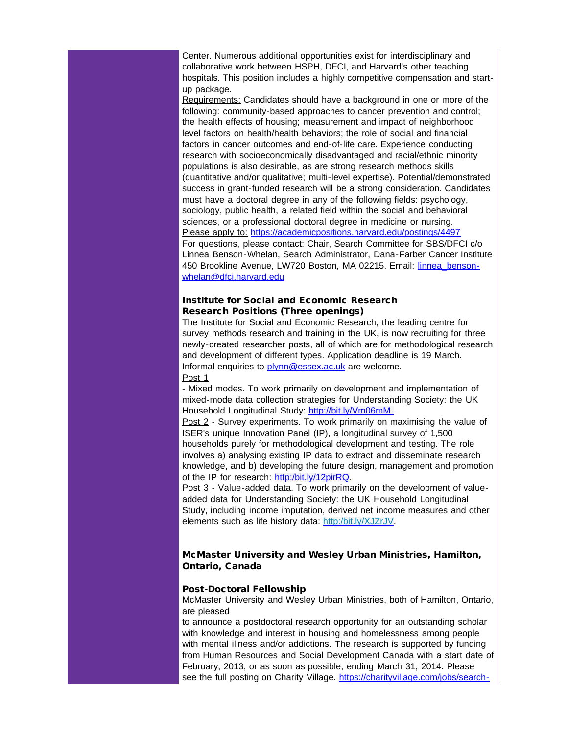Center. Numerous additional opportunities exist for interdisciplinary and collaborative work between HSPH, DFCI, and Harvard's other teaching hospitals. This position includes a highly competitive compensation and startup package.

Requirements: Candidates should have a background in one or more of the following: community-based approaches to cancer prevention and control; the health effects of housing; measurement and impact of neighborhood level factors on health/health behaviors; the role of social and financial factors in cancer outcomes and end-of-life care. Experience conducting research with socioeconomically disadvantaged and racial/ethnic minority populations is also desirable, as are strong research methods skills (quantitative and/or qualitative; multi-level expertise). Potential/demonstrated success in grant-funded research will be a strong consideration. Candidates must have a doctoral degree in any of the following fields: psychology, sociology, public health, a related field within the social and behavioral sciences, or a professional doctoral degree in medicine or nursing. Please apply to: [https://academicpositions.harvard.edu/postings/4497](http://r20.rs6.net/tn.jsp?e=001ZfYkCAKYxvSr-z634ZDvPDknYPsx8-WoECBAIZluxlIFXFxAIiZ3kfHROWrIAFxRePg15zaeFaCkrFh1RgPTdt3tCOpPo8eR_bdfwcXpWkAntNzFwZKIECfVtawxiSOFGaUxX0blpFwdULwZuLe1Hw==) For questions, please contact: Chair, Search Committee for SBS/DFCI c/o Linnea Benson-Whelan, Search Administrator, Dana-Farber Cancer Institute 450 Brookline Avenue, LW720 Boston, MA 02215. Email: *linnea benson*[whelan@dfci.harvard.edu](mailto:linnea_benson-whelan@dfci.harvard.edu)

### Institute for Social and Economic Research Research Positions (Three openings)

The Institute for Social and Economic Research, the leading centre for survey methods research and training in the UK, is now recruiting for three newly-created researcher posts, all of which are for methodological research and development of different types. Application deadline is 19 March. Informal enquiries to *[plynn@essex.ac.uk](mailto:plynn@essex.ac.uk)* are welcome. Post 1

- Mixed modes. To work primarily on development and implementation of mixed-mode data collection strategies for Understanding Society: the UK Household Longitudinal Study: http://bit.ly/Vm06mM.

Post 2 - Survey experiments. To work primarily on maximising the value of ISER's unique Innovation Panel (IP), a longitudinal survey of 1,500 households purely for methodological development and testing. The role involves a) analysing existing IP data to extract and disseminate research knowledge, and b) developing the future design, management and promotion of the IP for research: [http:/bit.ly/12pirRQ.](http://r20.rs6.net/tn.jsp?e=001ZfYkCAKYxvTQbJESeA7P1O3jQMes6ik6pgSP0qq1kucPj6h6lGM9RvQJp-W1Jyk2_eDUEEswxzTnMeX6wNqFIG_8F8aoAynH7xsQGAt-4G8=)

Post 3 - Value-added data. To work primarily on the development of valueadded data for Understanding Society: the UK Household Longitudinal Study, including income imputation, derived net income measures and other elements such as life history data: [http:/bit.ly/XJZrJV](http://r20.rs6.net/tn.jsp?e=001ZfYkCAKYxvQ7lxjjjWhNUJ9O4h1rWTiz838KRdLY_R8e_36VD3zPCm--cg_-Of_1utbB2q7F6PT3YdQinz43eP34e5VYza2ugpC73WvY_Fk=).

## McMaster University and Wesley Urban Ministries, Hamilton, Ontario, Canada

## Post-Doctoral Fellowship

McMaster University and Wesley Urban Ministries, both of Hamilton, Ontario, are pleased

to announce a postdoctoral research opportunity for an outstanding scholar with knowledge and interest in housing and homelessness among people with mental illness and/or addictions. The research is supported by funding from Human Resources and Social Development Canada with a start date of February, 2013, or as soon as possible, ending March 31, 2014. Please see the full posting on Charity Village. [https://charityvillage.com/jobs/search-](http://r20.rs6.net/tn.jsp?e=001ZfYkCAKYxvTCIt_-hENT-RKqH0q1OJLMXIUx32kA6GRaCT2_WoJ2j5Nl2TKxGBKU1SPtZzcBLXSZFlTw-fbm80AhAG4dnTB5MVK005BajUndqyknfvYq712Ksjy_TzP00zFfyM-elpcoN4Xqv9wTWJa733zeRHRgVCGgTcht6Hq2XooeCEBUIQ==)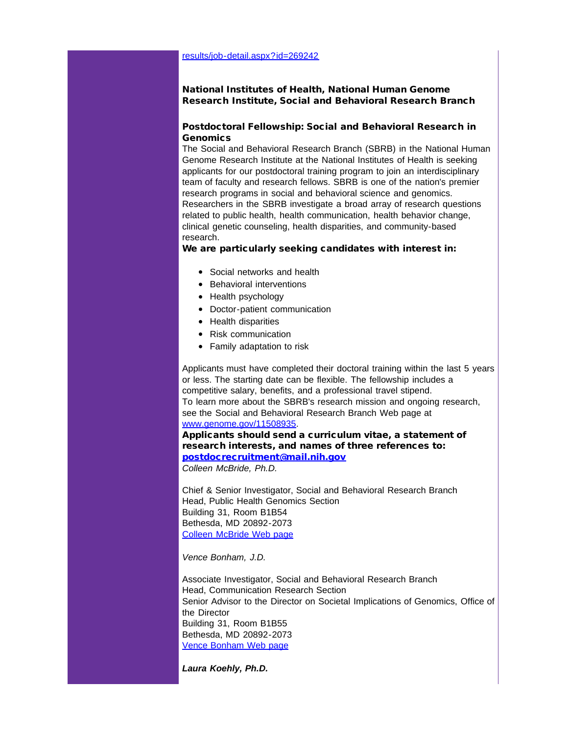#### [results/job-detail.aspx?id=269242](http://r20.rs6.net/tn.jsp?e=001ZfYkCAKYxvTCIt_-hENT-RKqH0q1OJLMXIUx32kA6GRaCT2_WoJ2j5Nl2TKxGBKU1SPtZzcBLXSZFlTw-fbm80AhAG4dnTB5MVK005BajUndqyknfvYq712Ksjy_TzP00zFfyM-elpcoN4Xqv9wTWJa733zeRHRgVCGgTcht6Hq2XooeCEBUIQ==)

## National Institutes of Health, National Human Genome Research Institute, Social and Behavioral Research Branch

## Postdoctoral Fellowship: Social and Behavioral Research in **Genomics**

The Social and Behavioral Research Branch (SBRB) in the National Human Genome Research Institute at the National Institutes of Health is seeking applicants for our postdoctoral training program to join an interdisciplinary team of faculty and research fellows. SBRB is one of the nation's premier research programs in social and behavioral science and genomics. Researchers in the SBRB investigate a broad array of research questions related to public health, health communication, health behavior change, clinical genetic counseling, health disparities, and community-based research.

## We are particularly seeking candidates with interest in:

- Social networks and health
- Behavioral interventions
- Health psychology
- Doctor-patient communication
- Health disparities
- Risk communication
- Family adaptation to risk

Applicants must have completed their doctoral training within the last 5 years or less. The starting date can be flexible. The fellowship includes a competitive salary, benefits, and a professional travel stipend. To learn more about the SBRB's research mission and ongoing research, see the Social and Behavioral Research Branch Web page at [www.genome.gov/11508935](http://r20.rs6.net/tn.jsp?e=001ZfYkCAKYxvTUXQzFHAXh1yI7_ArvHTA0mTaczD7Tyh2Jvfg7uBbvyFyYd-aymDTacfIipEoQ6FCF5GWk8kzZNGH2B_rtnEa9IYezxJ3p7TMk_Y9MoFQ1Fg==).

Applicants should send a curriculum vitae, a statement of research interests, and names of three references to: [postdocrecruitment@mail.nih.gov](mailto:%20postdocrecruitment@mail.nih.gov) *Colleen McBride, Ph.D.*

Chief & Senior Investigator, Social and Behavioral Research Branch Head, Public Health Genomics Section Building 31, Room B1B54 Bethesda, MD 20892-2073 [Colleen McBride Web page](http://r20.rs6.net/tn.jsp?e=001ZfYkCAKYxvRfQJt2lT_iO6nmEEEFyHpubAvNxKeZ5R3COtqD-uN_f47XNuT5ZovaW4hicZFqLHz4vM3awQImsFJfHD8xyzW_tokWe7puejZd9rpF8FhbvGH679_wU6TT)

*Vence Bonham, J.D.*

Associate Investigator, Social and Behavioral Research Branch Head, Communication Research Section Senior Advisor to the Director on Societal Implications of Genomics, Office of the Director Building 31, Room B1B55 Bethesda, MD 20892-2073 [Vence Bonham Web page](http://r20.rs6.net/tn.jsp?e=001ZfYkCAKYxvTnXMrUuY0oR6kAivJacZr7txx4CLgFQvvoGdScG5s61SeZyfWva_CWtJc7_LNaRLXnXdVEBdf1i9GH-IQlV0qhET7-WYeriYFeeibjqdkI5GRJx2U9aaf6)

*Laura Koehly, Ph.D.*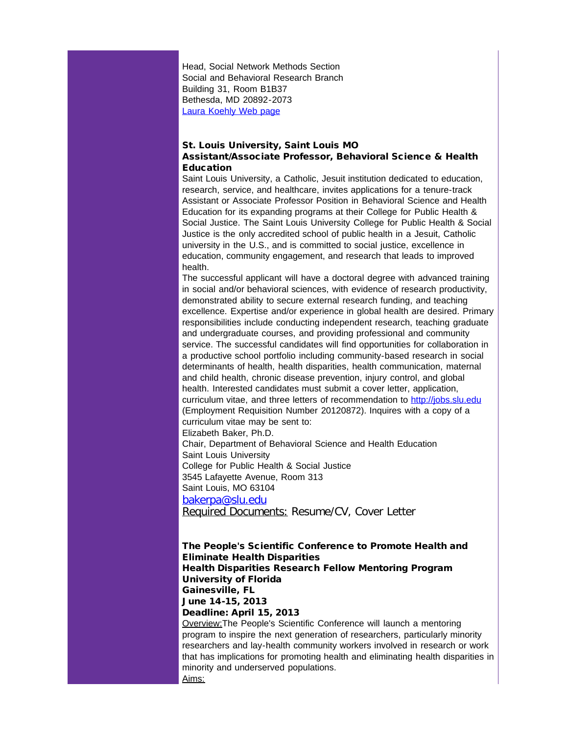Head, Social Network Methods Section Social and Behavioral Research Branch Building 31, Room B1B37 Bethesda, MD 20892-2073 [Laura Koehly Web page](http://r20.rs6.net/tn.jsp?e=001ZfYkCAKYxvRkndeGFUZvX4lMyn7yqv8Z99dqVW2nyAfUI4F0GDDlAFKCXjbJqquEmTXMhypZCExbfcEQ_zpn-cY-DFGfqrvWbj7ucIzvnQOGiOf7iADl9U442L7bVvzF)

## St. Louis University, Saint Louis MO Assistant/Associate Professor, Behavioral Science & Health Education

Saint Louis University, a Catholic, Jesuit institution dedicated to education, research, service, and healthcare, invites applications for a tenure-track Assistant or Associate Professor Position in Behavioral Science and Health Education for its expanding programs at their College for Public Health & Social Justice. The Saint Louis University College for Public Health & Social Justice is the only accredited school of public health in a Jesuit, Catholic university in the U.S., and is committed to social justice, excellence in education, community engagement, and research that leads to improved health.

The successful applicant will have a doctoral degree with advanced training in social and/or behavioral sciences, with evidence of research productivity, demonstrated ability to secure external research funding, and teaching excellence. Expertise and/or experience in global health are desired. Primary responsibilities include conducting independent research, teaching graduate and undergraduate courses, and providing professional and community service. The successful candidates will find opportunities for collaboration in a productive school portfolio including community-based research in social determinants of health, health disparities, health communication, maternal and child health, chronic disease prevention, injury control, and global health. Interested candidates must submit a cover letter, application, curriculum vitae, and three letters of recommendation to [http://jobs.slu.edu](http://r20.rs6.net/tn.jsp?e=001ZfYkCAKYxvQvhJ0ACmgk86ixxKltYP6Uj-KszS6n04svThD65mGzz37hxgtfebX6gHm-yHnP3b2lMG6bYYUzQIG0mR4l3PqAoS-TfB-HRyo=) (Employment Requisition Number 20120872). Inquires with a copy of a curriculum vitae may be sent to: Elizabeth Baker, Ph.D. Chair, Department of Behavioral Science and Health Education Saint Louis University

College for Public Health & Social Justice

3545 Lafayette Avenue, Room 313

Saint Louis, MO 63104

[bakerpa@slu.edu](mailto:bakerpa@slu.edu)

Required Documents: Resume/CV, Cover Letter

The People's Scientific Conference to Promote Health and Eliminate Health Disparities Health Disparities Research Fellow Mentoring Program University of Florida Gainesville, FL June 14-15, 2013 Deadline: April 15, 2013 Overview:The People's Scientific Conference will launch a mentoring program to inspire the next generation of researchers, particularly minority researchers and lay-health community workers involved in research or work that has implications for promoting health and eliminating health disparities in minority and underserved populations.

Aims: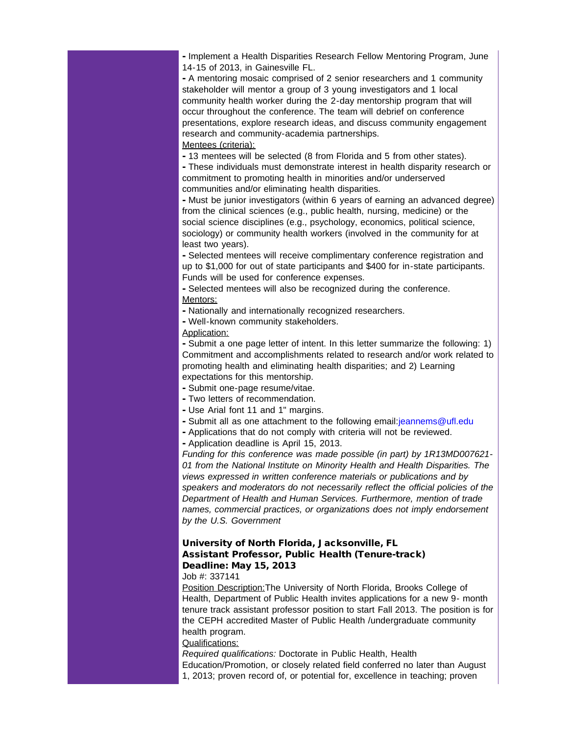- Implement a Health Disparities Research Fellow Mentoring Program, June 14-15 of 2013, in Gainesville FL.

- A mentoring mosaic comprised of 2 senior researchers and 1 community stakeholder will mentor a group of 3 young investigators and 1 local community health worker during the 2-day mentorship program that will occur throughout the conference. The team will debrief on conference presentations, explore research ideas, and discuss community engagement research and community-academia partnerships. Mentees (criteria):

- 13 mentees will be selected (8 from Florida and 5 from other states).

- These individuals must demonstrate interest in health disparity research or commitment to promoting health in minorities and/or underserved communities and/or eliminating health disparities.

- Must be junior investigators (within 6 years of earning an advanced degree) from the clinical sciences (e.g., public health, nursing, medicine) or the social science disciplines (e.g., psychology, economics, political science, sociology) or community health workers (involved in the community for at least two years).

- Selected mentees will receive complimentary conference registration and up to \$1,000 for out of state participants and \$400 for in-state participants. Funds will be used for conference expenses.

- Selected mentees will also be recognized during the conference. Mentors:

- Nationally and internationally recognized researchers.

- Well-known community stakeholders.

Application:

- Submit a one page letter of intent. In this letter summarize the following: 1) Commitment and accomplishments related to research and/or work related to promoting health and eliminating health disparities; and 2) Learning expectations for this mentorship.

- Submit one-page resume/vitae.

- Two letters of recommendation.

- Use Arial font 11 and 1" margins.

- Submit all as one attachment to the following email: jeannems@ufl.edu

- Applications that do not comply with criteria will not be reviewed.

- Application deadline is April 15, 2013.

*Funding for this conference was made possible (in part) by 1R13MD007621- 01 from the National Institute on Minority Health and Health Disparities. The views expressed in written conference materials or publications and by speakers and moderators do not necessarily reflect the official policies of the Department of Health and Human Services. Furthermore, mention of trade names, commercial practices, or organizations does not imply endorsement by the U.S. Government*

## University of North Florida, Jacksonville, FL Assistant Professor, Public Health (Tenure-track) Deadline: May 15, 2013

Job #: 337141

Position Description:The University of North Florida, Brooks College of Health, Department of Public Health invites applications for a new 9- month tenure track assistant professor position to start Fall 2013. The position is for the CEPH accredited Master of Public Health /undergraduate community health program.

Qualifications:

*Required qualifications:* Doctorate in Public Health, Health Education/Promotion, or closely related field conferred no later than August 1, 2013; proven record of, or potential for, excellence in teaching; proven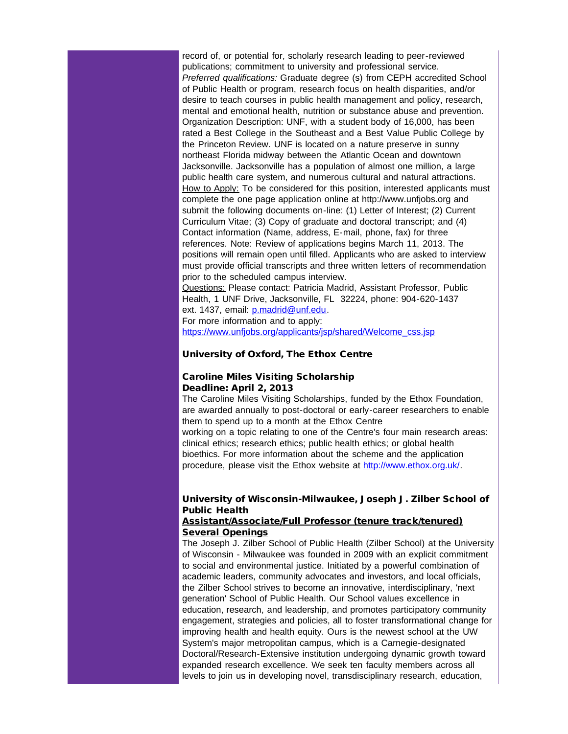record of, or potential for, scholarly research leading to peer-reviewed publications; commitment to university and professional service. *Preferred qualifications:* Graduate degree (s) from CEPH accredited School of Public Health or program, research focus on health disparities, and/or desire to teach courses in public health management and policy, research, mental and emotional health, nutrition or substance abuse and prevention. Organization Description: UNF, with a student body of 16,000, has been rated a Best College in the Southeast and a Best Value Public College by the Princeton Review. UNF is located on a nature preserve in sunny northeast Florida midway between the Atlantic Ocean and downtown Jacksonville. Jacksonville has a population of almost one million, a large public health care system, and numerous cultural and natural attractions. How to Apply: To be considered for this position, interested applicants must complete the one page application online at http://www.unfjobs.org and submit the following documents on-line: (1) Letter of Interest; (2) Current Curriculum Vitae; (3) Copy of graduate and doctoral transcript; and (4) Contact information (Name, address, E-mail, phone, fax) for three references. Note: Review of applications begins March 11, 2013. The positions will remain open until filled. Applicants who are asked to interview must provide official transcripts and three written letters of recommendation prior to the scheduled campus interview.

Questions: Please contact: Patricia Madrid, Assistant Professor, Public Health, 1 UNF Drive, Jacksonville, FL 32224, phone: 904-620-1437 ext. 1437, email: [p.madrid@unf.edu](mailto:p.madrid@unf.edu). For more information and to apply:

[https://www.unfjobs.org/applicants/jsp/shared/Welcome\\_css.jsp](http://r20.rs6.net/tn.jsp?e=001ZfYkCAKYxvTnZkRUsMoMons3cZd0VoNysoKIodlJuolNe12IXtTI6sDk_DXfUpQE570WJKhtbXoxv7CDC4Jua30V76oGBqKReiOzRye2gX7JBjMcMHyiFoeGxuvuenfmFDdgP0a33O65JRQnbsZqcJxnaBmi5WCLnmnAEiqPjxM=)

#### University of Oxford, The Ethox Centre

## Caroline Miles Visiting Scholarship Deadline: April 2, 2013

The Caroline Miles Visiting Scholarships, funded by the Ethox Foundation, are awarded annually to post-doctoral or early-career researchers to enable them to spend up to a month at the Ethox Centre working on a topic relating to one of the Centre's four main research areas: clinical ethics; research ethics; public health ethics; or global health bioethics. For more information about the scheme and the application procedure, please visit the Ethox website at [http://www.ethox.org.uk/](http://r20.rs6.net/tn.jsp?e=001ZfYkCAKYxvRJUzuxdVg7J9cd7sYLMqRbLmGSgiJ2A60j6Hy2I1jah382GWJ9LIPdgpabRv121LB9gqTYVfb15qCPKb3-TIXI9FIvvf5ZMxI=).

## University of Wisconsin-Milwaukee, Joseph J. Zilber School of Public Health

## Assistant/Associate/Full Professor (tenure track/tenured) Several Openings

The Joseph J. Zilber School of Public Health (Zilber School) at the University of Wisconsin - Milwaukee was founded in 2009 with an explicit commitment to social and environmental justice. Initiated by a powerful combination of academic leaders, community advocates and investors, and local officials, the Zilber School strives to become an innovative, interdisciplinary, 'next generation' School of Public Health. Our School values excellence in education, research, and leadership, and promotes participatory community engagement, strategies and policies, all to foster transformational change for improving health and health equity. Ours is the newest school at the UW System's major metropolitan campus, which is a Carnegie-designated Doctoral/Research-Extensive institution undergoing dynamic growth toward expanded research excellence. We seek ten faculty members across all levels to join us in developing novel, transdisciplinary research, education,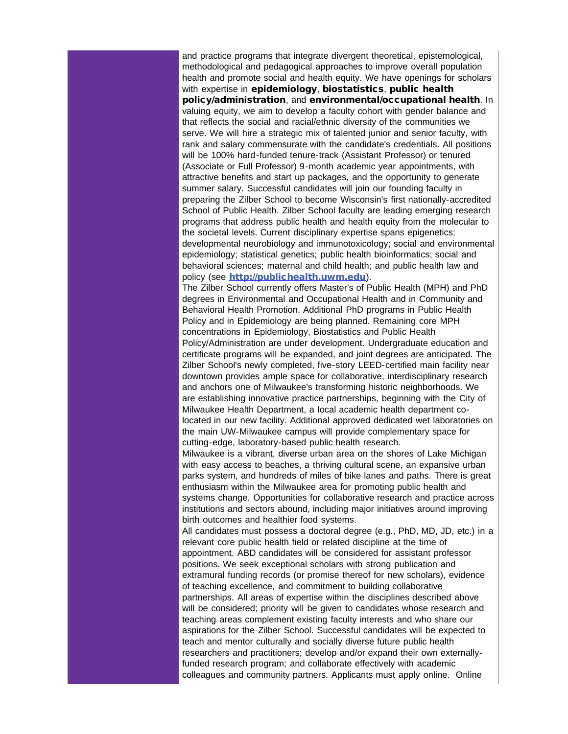and practice programs that integrate divergent theoretical, epistemological, methodological and pedagogical approaches to improve overall population health and promote social and health equity. We have openings for scholars with expertise in epidemiology, biostatistics, public health policy/administration, and environmental/occupational health. In valuing equity, we aim to develop a faculty cohort with gender balance and that reflects the social and racial/ethnic diversity of the communities we serve. We will hire a strategic mix of talented junior and senior faculty, with rank and salary commensurate with the candidate's credentials. All positions will be 100% hard-funded tenure-track (Assistant Professor) or tenured (Associate or Full Professor) 9-month academic year appointments, with attractive benefits and start up packages, and the opportunity to generate summer salary. Successful candidates will join our founding faculty in preparing the Zilber School to become Wisconsin's first nationally-accredited School of Public Health. Zilber School faculty are leading emerging research programs that address public health and health equity from the molecular to the societal levels. Current disciplinary expertise spans epigenetics; developmental neurobiology and immunotoxicology; social and environmental epidemiology; statistical genetics; public health bioinformatics; social and behavioral sciences; maternal and child health; and public health law and policy (see [http://publichealth.uwm.edu](http://r20.rs6.net/tn.jsp?e=001ZfYkCAKYxvTpNms2JJdDFgYtaYUE8fNWHtaKBOW2jDWjNJX4BC2wavCkKVKj0N6VcWxlRm8ubYQV-oX6507DTU_jgufejK4OTr-bFhjPJb6PhV4EfUdYlw==)).

The Zilber School currently offers Master's of Public Health (MPH) and PhD degrees in Environmental and Occupational Health and in Community and Behavioral Health Promotion. Additional PhD programs in Public Health Policy and in Epidemiology are being planned. Remaining core MPH concentrations in Epidemiology, Biostatistics and Public Health Policy/Administration are under development. Undergraduate education and certificate programs will be expanded, and joint degrees are anticipated. The Zilber School's newly completed, five-story LEED-certified main facility near downtown provides ample space for collaborative, interdisciplinary research and anchors one of Milwaukee's transforming historic neighborhoods. We are establishing innovative practice partnerships, beginning with the City of Milwaukee Health Department, a local academic health department colocated in our new facility. Additional approved dedicated wet laboratories on the main UW-Milwaukee campus will provide complementary space for cutting-edge, laboratory-based public health research.

Milwaukee is a vibrant, diverse urban area on the shores of Lake Michigan with easy access to beaches, a thriving cultural scene, an expansive urban parks system, and hundreds of miles of bike lanes and paths. There is great enthusiasm within the Milwaukee area for promoting public health and systems change. Opportunities for collaborative research and practice across institutions and sectors abound, including major initiatives around improving birth outcomes and healthier food systems.

All candidates must possess a doctoral degree (e.g., PhD, MD, JD, etc.) in a relevant core public health field or related discipline at the time of appointment. ABD candidates will be considered for assistant professor positions. We seek exceptional scholars with strong publication and extramural funding records (or promise thereof for new scholars), evidence of teaching excellence, and commitment to building collaborative partnerships. All areas of expertise within the disciplines described above will be considered; priority will be given to candidates whose research and teaching areas complement existing faculty interests and who share our aspirations for the Zilber School. Successful candidates will be expected to teach and mentor culturally and socially diverse future public health researchers and practitioners; develop and/or expand their own externallyfunded research program; and collaborate effectively with academic colleagues and community partners. Applicants must apply online. Online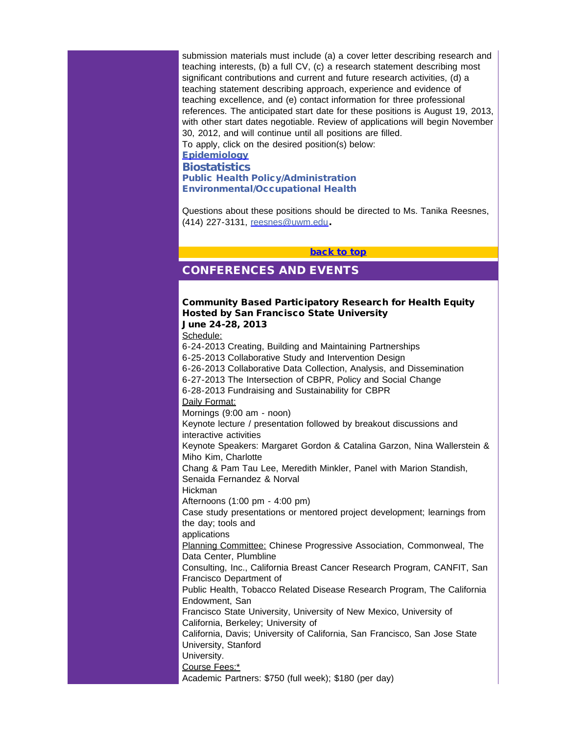<span id="page-17-0"></span>submission materials must include (a) a cover letter describing research and teaching interests, (b) a full CV, (c) a research statement describing most significant contributions and current and future research activities, (d) a teaching statement describing approach, experience and evidence of teaching excellence, and (e) contact information for three professional references. The anticipated start date for these positions is August 19, 2013, with other start dates negotiable. Review of applications will begin November 30, 2012, and will continue until all positions are filled. To apply, click on the desired position(s) below:

## **[Epidemiology](http://r20.rs6.net/tn.jsp?e=001ZfYkCAKYxvRPuEx-vcnz7kE18Ld2g5crQnBhZKFXX9EisX6l-qjjR19FNkzm_uKKks3inuoQow23IXBSNxY1HbVUuHkdp30I4dHyTziWFNMIwJyR0DoU0Z9kVoc869sA) Biostatistics** Public Health Policy/Administration Environmental/Occupational Health

Questions about these positions should be directed to Ms. Tanika Reesnes, (414) 227-3131, [reesnes@uwm.edu](mailto:reesnes@uwm.edu).

#### **[back to top](#page-0-3)**

# CONFERENCES AND EVENTS

# Community Based Participatory Research for Health Equity Hosted by San Francisco State University

June 24-28, 2013

Schedule:

6-24-2013 Creating, Building and Maintaining Partnerships 6-25-2013 Collaborative Study and Intervention Design 6-26-2013 Collaborative Data Collection, Analysis, and Dissemination 6-27-2013 The Intersection of CBPR, Policy and Social Change 6-28-2013 Fundraising and Sustainability for CBPR Daily Format: Mornings (9:00 am - noon) Keynote lecture / presentation followed by breakout discussions and interactive activities Keynote Speakers: Margaret Gordon & Catalina Garzon, Nina Wallerstein & Miho Kim, Charlotte Chang & Pam Tau Lee, Meredith Minkler, Panel with Marion Standish, Senaida Fernandez & Norval Hickman Afternoons (1:00 pm - 4:00 pm) Case study presentations or mentored project development; learnings from the day; tools and applications Planning Committee: Chinese Progressive Association, Commonweal, The Data Center, Plumbline Consulting, Inc., California Breast Cancer Research Program, CANFIT, San Francisco Department of Public Health, Tobacco Related Disease Research Program, The California Endowment, San Francisco State University, University of New Mexico, University of California, Berkeley; University of California, Davis; University of California, San Francisco, San Jose State University, Stanford University. Course Fees:\* Academic Partners: \$750 (full week); \$180 (per day)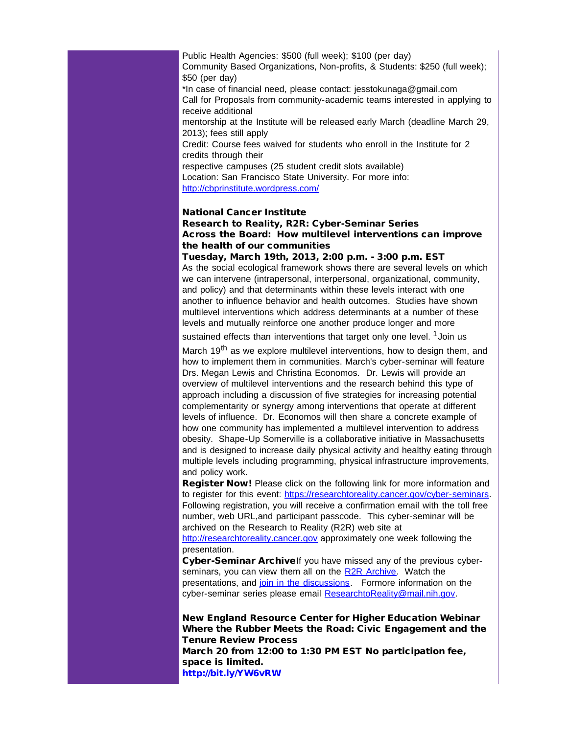Public Health Agencies: \$500 (full week); \$100 (per day) Community Based Organizations, Non-profits, & Students: \$250 (full week); \$50 (per day) \*In case of financial need, please contact: jesstokunaga@gmail.com Call for Proposals from community-academic teams interested in applying to receive additional mentorship at the Institute will be released early March (deadline March 29, 2013); fees still apply Credit: Course fees waived for students who enroll in the Institute for 2 credits through their respective campuses (25 student credit slots available) Location: San Francisco State University. For more info: [http://cbprinstitute.wordpress.com/](http://r20.rs6.net/tn.jsp?e=001ZfYkCAKYxvQtjI5EvGfzXa2ZuuaqedGT1dETHsjbHfhjenA5G56mXKcByVnKjdqaG_ni4vQFjjpUD_wo_RmrSv6MS40HZ7vojYtr6738fWk-e6ICL7Z4rNh5FOkJ3HjL)

#### National Cancer Institute

# Research to Reality, R2R: Cyber-Seminar Series Across the Board: How multilevel interventions can improve the health of our communities

Tuesday, March 19th, 2013, 2:00 p.m. - 3:00 p.m. EST As the social ecological framework shows there are several levels on which we can intervene (intrapersonal, interpersonal, organizational, community, and policy) and that determinants within these levels interact with one another to influence behavior and health outcomes. Studies have shown multilevel interventions which address determinants at a number of these levels and mutually reinforce one another produce longer and more

sustained effects than interventions that target only one level. <sup>1</sup> Join us

March 19<sup>th</sup> as we explore multilevel interventions, how to design them, and how to implement them in communities. March's cyber-seminar will feature Drs. Megan Lewis and Christina Economos. Dr. Lewis will provide an overview of multilevel interventions and the research behind this type of approach including a discussion of five strategies for increasing potential complementarity or synergy among interventions that operate at different levels of influence. Dr. Economos will then share a concrete example of how one community has implemented a multilevel intervention to address obesity. Shape-Up Somerville is a collaborative initiative in Massachusetts and is designed to increase daily physical activity and healthy eating through multiple levels including programming, physical infrastructure improvements, and policy work.

Register Now! Please click on the following link for more information and to register for this event: [https://researchtoreality.cancer.gov/cyber-seminars.](http://r20.rs6.net/tn.jsp?e=001ZfYkCAKYxvSK5UiieKF1ppOE-RvayEfmY5ZgdIfqks-aTF0d0cliNSUAaDsOUOcoEK-GgI6is5B4xGMn-3lzhTGNwPoSKLPg78rtBb2ESXDn7MpKa_Lj8FhOVJ0Sumd5uLGOrjln85siHZ5AQ29itg==) Following registration, you will receive a confirmation email with the toll free number, web URL,and participant passcode. This cyber-seminar will be archived on the Research to Reality (R2R) web site at

[http://researchtoreality.cancer.gov](http://r20.rs6.net/tn.jsp?e=001ZfYkCAKYxvQZ0oW0sGeFxPkI85kQ9fRmssnNt6CBdyBEN74IXLZnyhZ6xAuxHS2_lX9ncvK5404VYMGTuHJNT7Vd9wC9DLZjcgNhrpWcfnxzFgzp3kD2cXT-qHiTf8hf) approximately one week following the presentation.

Cyber-Seminar Archivelf you have missed any of the previous cyber-seminars, you can view them all on the [R2R Archive.](http://r20.rs6.net/tn.jsp?e=001ZfYkCAKYxvRwCF9_xInFRQeEyzFOBU69TPn5VYBQLmM-G2Yk9SXTj6nxmm_GAfyBjWR0s0T-s6wJrBo2SeZWCFbGZUczEQoR0LoGIhrvDzaQmCwyOYu3BpE33T51JB7-kRaxFLNCMV8REfV5dUjrIsEUSNqE_ppw) Watch the presentations, and [join in the discussions.](http://r20.rs6.net/tn.jsp?e=001ZfYkCAKYxvQQShP0Cnvf_vQDX-dYw0dKl_gEHszaQdBRdtWJvRBYeHqFGKBHgiBP-lJJO0mskt89cMmEUNtu7md_lwMGh_hvtR74VYKtc0pYeHMCY0_RoYgmJfRbpunteynHTEh7dFM=) Formore information on the cyber-seminar series please email [ResearchtoReality@mail.nih.gov.](mailto:ResearchtoReality@mail.nih.gov)

New England Resource Center for Higher Education Webinar Where the Rubber Meets the Road: Civic Engagement and the Tenure Review Process March 20 from 12:00 to 1:30 PM EST No participation fee, space is limited. [http://bit.ly/YW6vRW](http://r20.rs6.net/tn.jsp?e=001ZfYkCAKYxvT_3bEJPFGF9q6vg-r3Fww9Ukv2Nl4xZ0PtD3yOmhVZTW9bRsA2oDyyQze_MhDGcLxbCeIsNvWCaRT04FSdCZGDYYDI7VDfEo0=)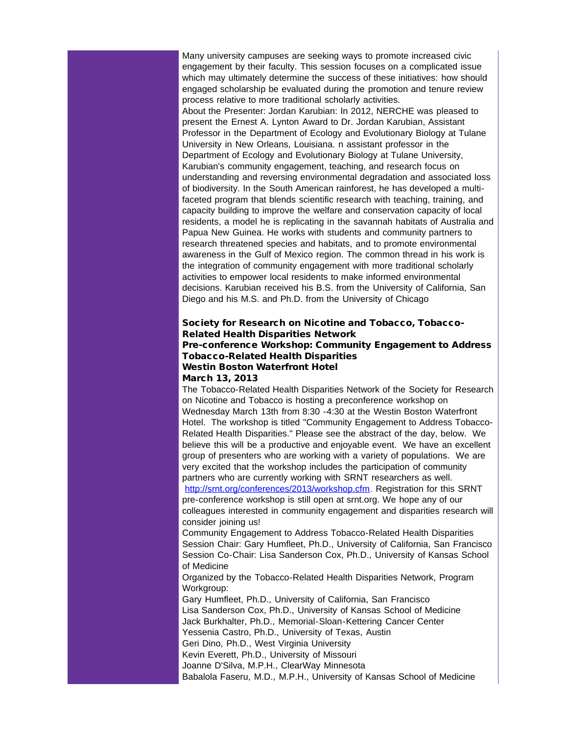Many university campuses are seeking ways to promote increased civic engagement by their faculty. This session focuses on a complicated issue which may ultimately determine the success of these initiatives: how should engaged scholarship be evaluated during the promotion and tenure review process relative to more traditional scholarly activities. About the Presenter: Jordan Karubian: In 2012, NERCHE was pleased to present the Ernest A. Lynton Award to Dr. Jordan Karubian, Assistant Professor in the Department of Ecology and Evolutionary Biology at Tulane University in New Orleans, Louisiana. n assistant professor in the Department of Ecology and Evolutionary Biology at Tulane University, Karubian's community engagement, teaching, and research focus on understanding and reversing environmental degradation and associated loss of biodiversity. In the South American rainforest, he has developed a multifaceted program that blends scientific research with teaching, training, and capacity building to improve the welfare and conservation capacity of local residents, a model he is replicating in the savannah habitats of Australia and Papua New Guinea. He works with students and community partners to research threatened species and habitats, and to promote environmental awareness in the Gulf of Mexico region. The common thread in his work is the integration of community engagement with more traditional scholarly activities to empower local residents to make informed environmental decisions. Karubian received his B.S. from the University of California, San Diego and his M.S. and Ph.D. from the University of Chicago

## Society for Research on Nicotine and Tobacco, Tobacco-Related Health Disparities Network Pre-conference Workshop: Community Engagement to Address Tobacco-Related Health Disparities Westin Boston Waterfront Hotel March 13, 2013

The Tobacco-Related Health Disparities Network of the Society for Research on Nicotine and Tobacco is hosting a preconference workshop on Wednesday March 13th from 8:30 -4:30 at the Westin Boston Waterfront Hotel. The workshop is titled "Community Engagement to Address Tobacco-Related Health Disparities." Please see the abstract of the day, below. We believe this will be a productive and enjoyable event. We have an excellent group of presenters who are working with a variety of populations. We are very excited that the workshop includes the participation of community partners who are currently working with SRNT researchers as well. [http://srnt.org/conferences/2013/workshop.cfm](http://r20.rs6.net/tn.jsp?e=001ZfYkCAKYxvTjQ01gWZl71tFbzcCOfoHpeaxcw13N0YmwCkK0LNExwAQ0Llpe9Oq9Z42VMLKh3OV7bb6hTkNIKWwiA2fqZLIiK7rxave-44zWHdTpe-HaWYrg47oovJ6L-btRcQtHunRxzgvyw1OjPw==). Registration for this SRNT pre-conference workshop is still open at srnt.org. We hope any of our colleagues interested in community engagement and disparities research will consider joining us!

Community Engagement to Address Tobacco-Related Health Disparities Session Chair: Gary Humfleet, Ph.D., University of California, San Francisco Session Co-Chair: Lisa Sanderson Cox, Ph.D., University of Kansas School of Medicine

Organized by the Tobacco-Related Health Disparities Network, Program Workgroup:

Gary Humfleet, Ph.D., University of California, San Francisco Lisa Sanderson Cox, Ph.D., University of Kansas School of Medicine Jack Burkhalter, Ph.D., Memorial-Sloan-Kettering Cancer Center Yessenia Castro, Ph.D., University of Texas, Austin Geri Dino, Ph.D., West Virginia University Kevin Everett, Ph.D., University of Missouri Joanne D'Silva, M.P.H., ClearWay Minnesota Babalola Faseru, M.D., M.P.H., University of Kansas School of Medicine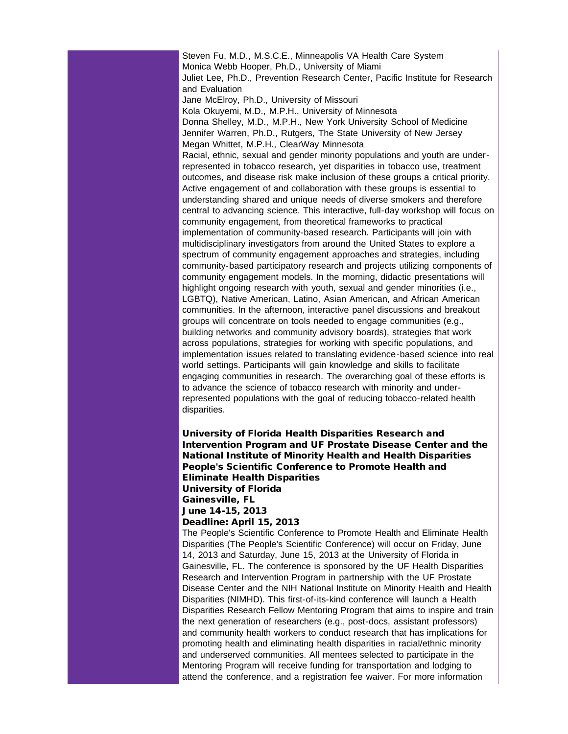Steven Fu, M.D., M.S.C.E., Minneapolis VA Health Care System Monica Webb Hooper, Ph.D., University of Miami Juliet Lee, Ph.D., Prevention Research Center, Pacific Institute for Research and Evaluation Jane McElroy, Ph.D., University of Missouri Kola Okuyemi, M.D., M.P.H., University of Minnesota Donna Shelley, M.D., M.P.H., New York University School of Medicine Jennifer Warren, Ph.D., Rutgers, The State University of New Jersey Megan Whittet, M.P.H., ClearWay Minnesota Racial, ethnic, sexual and gender minority populations and youth are underrepresented in tobacco research, yet disparities in tobacco use, treatment outcomes, and disease risk make inclusion of these groups a critical priority. Active engagement of and collaboration with these groups is essential to understanding shared and unique needs of diverse smokers and therefore central to advancing science. This interactive, full-day workshop will focus on community engagement, from theoretical frameworks to practical implementation of community-based research. Participants will join with multidisciplinary investigators from around the United States to explore a spectrum of community engagement approaches and strategies, including community-based participatory research and projects utilizing components of community engagement models. In the morning, didactic presentations will highlight ongoing research with youth, sexual and gender minorities (i.e., LGBTQ), Native American, Latino, Asian American, and African American communities. In the afternoon, interactive panel discussions and breakout groups will concentrate on tools needed to engage communities (e.g., building networks and community advisory boards), strategies that work across populations, strategies for working with specific populations, and implementation issues related to translating evidence-based science into real world settings. Participants will gain knowledge and skills to facilitate engaging communities in research. The overarching goal of these efforts is to advance the science of tobacco research with minority and underrepresented populations with the goal of reducing tobacco-related health disparities.

University of Florida Health Disparities Research and Intervention Program and UF Prostate Disease Center and the National Institute of Minority Health and Health Disparities People's Scientific Conference to Promote Health and Eliminate Health Disparities University of Florida Gainesville, FL June 14-15, 2013 Deadline: April 15, 2013

The People's Scientific Conference to Promote Health and Eliminate Health Disparities (The People's Scientific Conference) will occur on Friday, June 14, 2013 and Saturday, June 15, 2013 at the University of Florida in Gainesville, FL. The conference is sponsored by the UF Health Disparities Research and Intervention Program in partnership with the UF Prostate Disease Center and the NIH National Institute on Minority Health and Health Disparities (NIMHD). This first-of-its-kind conference will launch a Health Disparities Research Fellow Mentoring Program that aims to inspire and train the next generation of researchers (e.g., post-docs, assistant professors) and community health workers to conduct research that has implications for promoting health and eliminating health disparities in racial/ethnic minority and underserved communities. All mentees selected to participate in the Mentoring Program will receive funding for transportation and lodging to attend the conference, and a registration fee waiver. For more information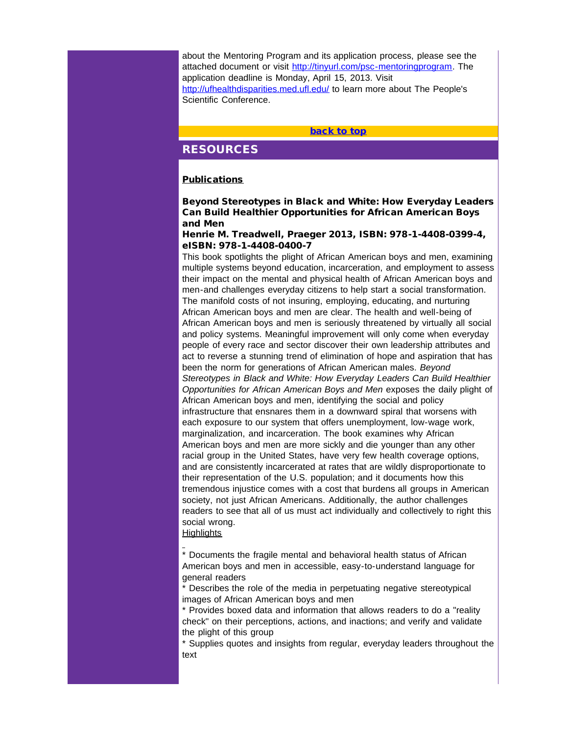<span id="page-21-0"></span>about the Mentoring Program and its application process, please see the attached document or visit [http://tinyurl.com/psc-mentoringprogram.](http://r20.rs6.net/tn.jsp?e=001ZfYkCAKYxvQDmLDPtt40iElgSOLhQdXqIQPHgC5e-5Rtv48TIEOnxl1FdaDlG5-KIGVb9ggYSjHl2B9DGXvZ7Zx7af9u3HuRSXXtJvkHaEc-6EGl5jDApVgV5pI9Un1i) The application deadline is Monday, April 15, 2013. Visit [http://ufhealthdisparities.med.ufl.edu/](http://r20.rs6.net/tn.jsp?e=001ZfYkCAKYxvT9WkstuFXg0xp5I7XLyHi89F3K-wdco_Z6keeXKwZ2zeud6arFgEh_Wv7Y4jpCYmTDVOcAVW2Eib_BRp6AskJagIg_s1Ir9kyC4hRCWjYoR42eqK3w5pda) to learn more about The People's Scientific Conference.

#### [back to top](#page-0-3)

# **RESOURCES**

## **Publications**

Beyond Stereotypes in Black and White: How Everyday Leaders Can Build Healthier Opportunities for African American Boys and Men

### Henrie M. Treadwell, Praeger 2013, ISBN: 978-1-4408-0399-4, eISBN: 978-1-4408-0400-7

This book spotlights the plight of African American boys and men, examining multiple systems beyond education, incarceration, and employment to assess their impact on the mental and physical health of African American boys and men-and challenges everyday citizens to help start a social transformation. The manifold costs of not insuring, employing, educating, and nurturing African American boys and men are clear. The health and well-being of African American boys and men is seriously threatened by virtually all social and policy systems. Meaningful improvement will only come when everyday people of every race and sector discover their own leadership attributes and act to reverse a stunning trend of elimination of hope and aspiration that has been the norm for generations of African American males. *Beyond Stereotypes in Black and White: How Everyday Leaders Can Build Healthier Opportunities for African American Boys and Men* exposes the daily plight of African American boys and men, identifying the social and policy infrastructure that ensnares them in a downward spiral that worsens with each exposure to our system that offers unemployment, low-wage work, marginalization, and incarceration. The book examines why African American boys and men are more sickly and die younger than any other racial group in the United States, have very few health coverage options, and are consistently incarcerated at rates that are wildly disproportionate to their representation of the U.S. population; and it documents how this tremendous injustice comes with a cost that burdens all groups in American society, not just African Americans. Additionally, the author challenges readers to see that all of us must act individually and collectively to right this social wrong.

## **Highlights**

\* Documents the fragile mental and behavioral health status of African American boys and men in accessible, easy-to-understand language for general readers

\* Describes the role of the media in perpetuating negative stereotypical images of African American boys and men

\* Provides boxed data and information that allows readers to do a "reality check" on their perceptions, actions, and inactions; and verify and validate the plight of this group

\* Supplies quotes and insights from regular, everyday leaders throughout the text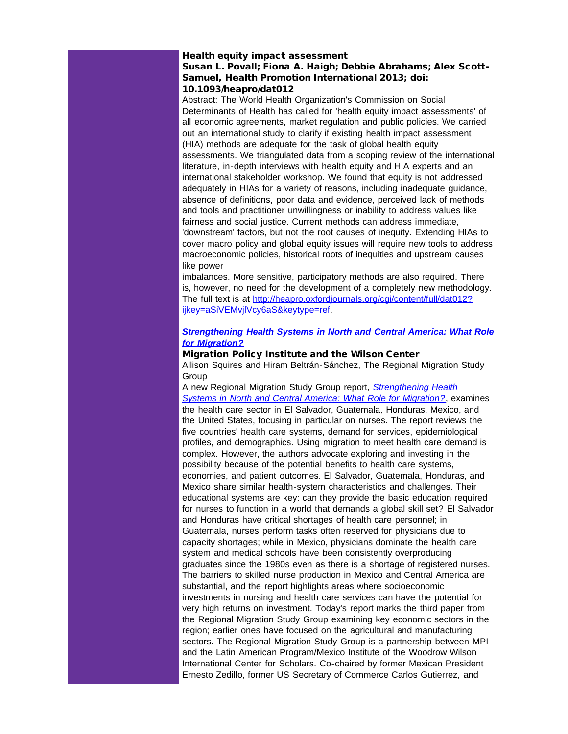### Health equity impact assessment Susan L. Povall; Fiona A. Haigh; Debbie Abrahams; Alex Scott-Samuel, Health Promotion International 2013; doi: 10.1093/heapro/dat012

Abstract: The World Health Organization's Commission on Social Determinants of Health has called for 'health equity impact assessments' of all economic agreements, market regulation and public policies. We carried out an international study to clarify if existing health impact assessment (HIA) methods are adequate for the task of global health equity assessments. We triangulated data from a scoping review of the international literature, in-depth interviews with health equity and HIA experts and an international stakeholder workshop. We found that equity is not addressed adequately in HIAs for a variety of reasons, including inadequate guidance, absence of definitions, poor data and evidence, perceived lack of methods and tools and practitioner unwillingness or inability to address values like fairness and social justice. Current methods can address immediate, 'downstream' factors, but not the root causes of inequity. Extending HIAs to cover macro policy and global equity issues will require new tools to address macroeconomic policies, historical roots of inequities and upstream causes like power

imbalances. More sensitive, participatory methods are also required. There is, however, no need for the development of a completely new methodology. The full text is at [http://heapro.oxfordjournals.org/cgi/content/full/dat012?](http://r20.rs6.net/tn.jsp?e=001ZfYkCAKYxvTtAfrqBWXc7zHm5ZCKL6LCIJClsBXwq-V68ndYrAe5TGXs8LHcEs3UeIWRCANjRJ0-a1JYwi5oJp_W9Y2TLiBwNVj0OE5dhTSa6lTSNIJ-w0F7FJeNb4EAMR9VIzOPlJt7RBEkJlvTWh849qKiiq5UIlO8LKRMDX_52T0MRJzqofg0l9xA30wk8IOwuDSJvul6JzBqoOcXLA==) [ijkey=aSiVEMvjlVcy6aS&keytype=ref](http://r20.rs6.net/tn.jsp?e=001ZfYkCAKYxvTtAfrqBWXc7zHm5ZCKL6LCIJClsBXwq-V68ndYrAe5TGXs8LHcEs3UeIWRCANjRJ0-a1JYwi5oJp_W9Y2TLiBwNVj0OE5dhTSa6lTSNIJ-w0F7FJeNb4EAMR9VIzOPlJt7RBEkJlvTWh849qKiiq5UIlO8LKRMDX_52T0MRJzqofg0l9xA30wk8IOwuDSJvul6JzBqoOcXLA==).

## *[Strengthening Health Systems in North and Central America: What Role](http://r20.rs6.net/tn.jsp?e=001ZfYkCAKYxvSreMKoWhD2sHQh6STkWoVKNMhU7FMHXx3QnjdMsIoZ8YPpQRSi0UCAXVlfxyBebHS6Y9k8VVnxsWTwBM9mZ2m9S4GQ9Pvmoepnfi3ARMqTwHz1uEpSrbG7Sqd6TgkOH181isZ_eS4Zgds11A4jH_LX-C7iN9JoCi-VcV3vwcR9jWIrvNTWwBKzhOCUdlgXfngweS3wOF5ZKA==) [for Migration?](http://r20.rs6.net/tn.jsp?e=001ZfYkCAKYxvSreMKoWhD2sHQh6STkWoVKNMhU7FMHXx3QnjdMsIoZ8YPpQRSi0UCAXVlfxyBebHS6Y9k8VVnxsWTwBM9mZ2m9S4GQ9Pvmoepnfi3ARMqTwHz1uEpSrbG7Sqd6TgkOH181isZ_eS4Zgds11A4jH_LX-C7iN9JoCi-VcV3vwcR9jWIrvNTWwBKzhOCUdlgXfngweS3wOF5ZKA==)*

#### Migration Policy Institute and the Wilson Center

Allison Squires and Hiram Beltrán-Sánchez, The Regional Migration Study Group

A new Regional Migration Study Group report, *[Strengthening Health](http://r20.rs6.net/tn.jsp?e=001ZfYkCAKYxvSreMKoWhD2sHQh6STkWoVKNMhU7FMHXx3QnjdMsIoZ8YPpQRSi0UCAXVlfxyBebHS6Y9k8VVnxsWTwBM9mZ2m9S4GQ9Pvmoepnfi3ARMqTwHz1uEpSrbG7Sqd6TgkOH181isZ_eS4Zgds11A4jH_LX-C7iN9JoCi-VcV3vwcR9jWIrvNTWwBKzhOCUdlgXfngweS3wOF5ZKA==) [Systems in North and Central America: What Role for Migration?](http://r20.rs6.net/tn.jsp?e=001ZfYkCAKYxvSreMKoWhD2sHQh6STkWoVKNMhU7FMHXx3QnjdMsIoZ8YPpQRSi0UCAXVlfxyBebHS6Y9k8VVnxsWTwBM9mZ2m9S4GQ9Pvmoepnfi3ARMqTwHz1uEpSrbG7Sqd6TgkOH181isZ_eS4Zgds11A4jH_LX-C7iN9JoCi-VcV3vwcR9jWIrvNTWwBKzhOCUdlgXfngweS3wOF5ZKA==)*, examines the health care sector in El Salvador, Guatemala, Honduras, Mexico, and the United States, focusing in particular on nurses. The report reviews the five countries' health care systems, demand for services, epidemiological profiles, and demographics. Using migration to meet health care demand is complex. However, the authors advocate exploring and investing in the possibility because of the potential benefits to health care systems, economies, and patient outcomes. El Salvador, Guatemala, Honduras, and Mexico share similar health-system characteristics and challenges. Their educational systems are key: can they provide the basic education required for nurses to function in a world that demands a global skill set? El Salvador and Honduras have critical shortages of health care personnel; in Guatemala, nurses perform tasks often reserved for physicians due to capacity shortages; while in Mexico, physicians dominate the health care system and medical schools have been consistently overproducing graduates since the 1980s even as there is a shortage of registered nurses. The barriers to skilled nurse production in Mexico and Central America are substantial, and the report highlights areas where socioeconomic investments in nursing and health care services can have the potential for very high returns on investment. Today's report marks the third paper from the Regional Migration Study Group examining key economic sectors in the region; earlier ones have focused on the agricultural and manufacturing sectors. The Regional Migration Study Group is a partnership between MPI and the Latin American Program/Mexico Institute of the Woodrow Wilson International Center for Scholars. Co-chaired by former Mexican President Ernesto Zedillo, former US Secretary of Commerce Carlos Gutierrez, and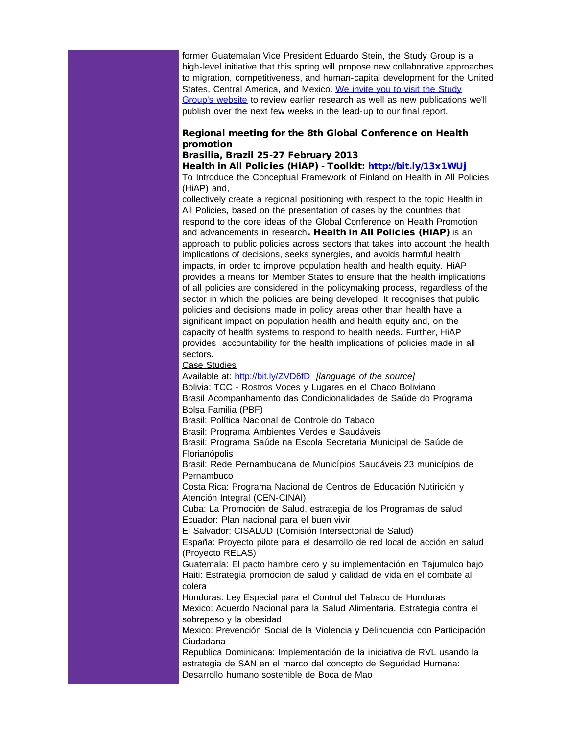former Guatemalan Vice President Eduardo Stein, the Study Group is a high-level initiative that this spring will propose new collaborative approaches to migration, competitiveness, and human-capital development for the United States, Central America, and Mexico. [We invite you to visit the Study](http://r20.rs6.net/tn.jsp?e=001ZfYkCAKYxvRHAWEfr_nQLkNQgIp_LNe0wG_4TZP_P7v0Giw8TOiaKL_4locx00BR7Cq3eD0Lm1FLyxyUSTKr1EdJMRuoj21gOx4gY1CKLBwNtdvPvC9S166jPvpImzsPNP0rQs8_IbgvBPm5d3yGntS3hDvdqxkc1U8aZbZDtKPet4ckMtjgii3CMpRwdvz8u55RaFwOylgX3z37yeezLw==) [Group's website](http://r20.rs6.net/tn.jsp?e=001ZfYkCAKYxvRHAWEfr_nQLkNQgIp_LNe0wG_4TZP_P7v0Giw8TOiaKL_4locx00BR7Cq3eD0Lm1FLyxyUSTKr1EdJMRuoj21gOx4gY1CKLBwNtdvPvC9S166jPvpImzsPNP0rQs8_IbgvBPm5d3yGntS3hDvdqxkc1U8aZbZDtKPet4ckMtjgii3CMpRwdvz8u55RaFwOylgX3z37yeezLw==) to review earlier research as well as new publications we'll publish over the next few weeks in the lead-up to our final report.

## Regional meeting for the 8th Global Conference on Health promotion

## Brasilia, Brazil 25-27 February 2013

Health in All Policies (HiAP) - Toolkit: http://bit.ly/13x1WUi

To Introduce the Conceptual Framework of Finland on Health in All Policies (HiAP) and,

collectively create a regional positioning with respect to the topic Health in All Policies, based on the presentation of cases by the countries that respond to the core ideas of the Global Conference on Health Promotion and advancements in research. Health in All Policies (HiAP) is an approach to public policies across sectors that takes into account the health implications of decisions, seeks synergies, and avoids harmful health impacts, in order to improve population health and health equity. HiAP provides a means for Member States to ensure that the health implications of all policies are considered in the policymaking process, regardless of the sector in which the policies are being developed. It recognises that public policies and decisions made in policy areas other than health have a significant impact on population health and health equity and, on the capacity of health systems to respond to health needs. Further, HiAP provides accountability for the health implications of policies made in all sectors.

Case Studies

Available at: [http://bit.ly/ZVD6fD](http://r20.rs6.net/tn.jsp?e=001ZfYkCAKYxvREYUCp36mm8o-O7T6zmxMscxK391E3V1QFZV6Yq9bjO9ZHMdRP09ECCPTheMNZRq3gVNtXlxQdPQRPnHaIJR4_uBGC1l2_B-M=) *[language of the source]*

Bolivia: TCC - Rostros Voces y Lugares en el Chaco Boliviano Brasil Acompanhamento das Condicionalidades de Saúde do Programa Bolsa Familia (PBF)

Brasil: Política Nacional de Controle do Tabaco

Brasil: Programa Ambientes Verdes e Saudáveis

Brasil: Programa Saúde na Escola Secretaria Municipal de Saúde de Florianópolis

Brasil: Rede Pernambucana de Municípios Saudáveis 23 municípios de Pernambuco

Costa Rica: Programa Nacional de Centros de Educación Nutirición y Atención Integral (CEN-CINAI)

Cuba: La Promoción de Salud, estrategia de los Programas de salud Ecuador: Plan nacional para el buen vivir

El Salvador: CISALUD (Comisión Intersectorial de Salud)

España: Proyecto pilote para el desarrollo de red local de acción en salud (Proyecto RELAS)

Guatemala: El pacto hambre cero y su implementación en Tajumulco bajo Haiti: Estrategia promocion de salud y calidad de vida en el combate al colera

Honduras: Ley Especial para el Control del Tabaco de Honduras Mexico: Acuerdo Nacional para la Salud Alimentaria. Estrategia contra el sobrepeso y la obesidad

Mexico: Prevención Social de la Violencia y Delincuencia con Participación Ciudadana

Republica Dominicana: Implementación de la iniciativa de RVL usando la estrategia de SAN en el marco del concepto de Seguridad Humana: Desarrollo humano sostenible de Boca de Mao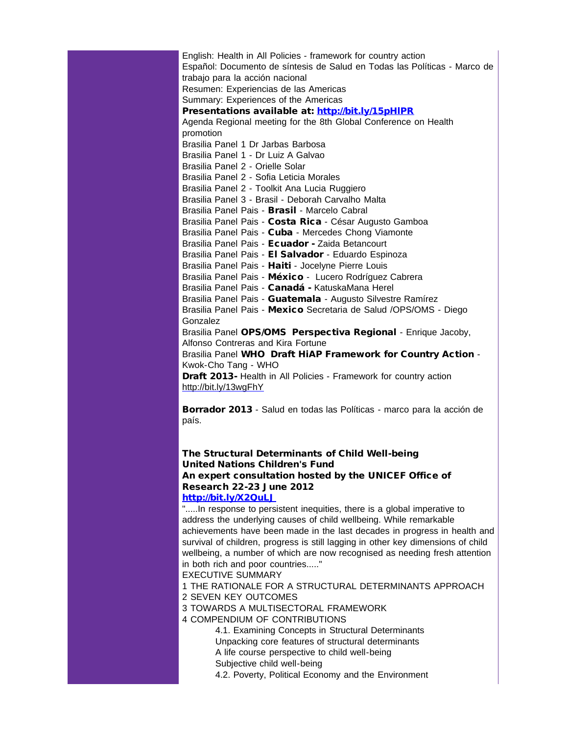English: Health in All Policies - framework for country action Español: Documento de síntesis de Salud en Todas las Políticas - Marco de trabajo para la acción nacional Resumen: Experiencias de las Americas Summary: Experiences of the Americas Presentations available at: http://bit.ly/15pHIPR Agenda Regional meeting for the 8th Global Conference on Health promotion Brasilia Panel 1 Dr Jarbas Barbosa Brasilia Panel 1 - Dr Luiz A Galvao Brasilia Panel 2 - Orielle Solar Brasilia Panel 2 - Sofia Leticia Morales Brasilia Panel 2 - Toolkit Ana Lucia Ruggiero Brasilia Panel 3 - Brasil - Deborah Carvalho Malta Brasilia Panel Pais - Brasil - Marcelo Cabral Brasilia Panel Pais - Costa Rica - César Augusto Gamboa Brasilia Panel Pais - Cuba - Mercedes Chong Viamonte Brasilia Panel Pais - Ecuador - Zaida Betancourt Brasilia Panel Pais - El Salvador - Eduardo Espinoza Brasilia Panel Pais - Haiti - Jocelyne Pierre Louis Brasilia Panel Pais - México - Lucero Rodríguez Cabrera Brasilia Panel Pais - Canadá - KatuskaMana Herel Brasilia Panel Pais - Guatemala - Augusto Silvestre Ramírez Brasilia Panel Pais - Mexico Secretaria de Salud /OPS/OMS - Diego Gonzalez Brasilia Panel OPS/OMS Perspectiva Regional - Enrique Jacoby, Alfonso Contreras and Kira Fortune Brasilia Panel WHO Draft HiAP Framework for Country Action - Kwok-Cho Tang - WHO Draft 2013- Health in All Policies - Framework for country action [http://bit.ly/13wgFhY](http://r20.rs6.net/tn.jsp?e=001ZfYkCAKYxvQdie_ZvqvgOP0XgdlTCcB8PnhkOgBE6MgLSXFaXuo0CNC9vy3ADTGsvwsD4GLJ5sfMgl8vQR4yH8lvHAY2N-06f0_XP2C51MI=)

Borrador 2013 - Salud en todas las Políticas - marco para la acción de país.

# The Structural Determinants of Child Well-being United Nations Children's Fund An expert consultation hosted by the UNICEF Office of Research 22-23 June 2012

## [http://bit.ly/X2QuLJ](http://r20.rs6.net/tn.jsp?e=001ZfYkCAKYxvRacGCs3_46Cg4NgGhnkPLb3panbPzzgKuiG20d3phAeB9nHehtd-oafjrrUoiK864hABeZVl0GsXXylb_nfZ3qE_mdcHMcCis=)

".....In response to persistent inequities, there is a global imperative to address the underlying causes of child wellbeing. While remarkable achievements have been made in the last decades in progress in health and survival of children, progress is still lagging in other key dimensions of child wellbeing, a number of which are now recognised as needing fresh attention in both rich and poor countries....."

EXECUTIVE SUMMARY

1 THE RATIONALE FOR A STRUCTURAL DETERMINANTS APPROACH

2 SEVEN KEY OUTCOMES

- 3 TOWARDS A MULTISECTORAL FRAMEWORK
- 4 COMPENDIUM OF CONTRIBUTIONS
	- 4.1. Examining Concepts in Structural Determinants Unpacking core features of structural determinants A life course perspective to child well-being Subjective child well-being

4.2. Poverty, Political Economy and the Environment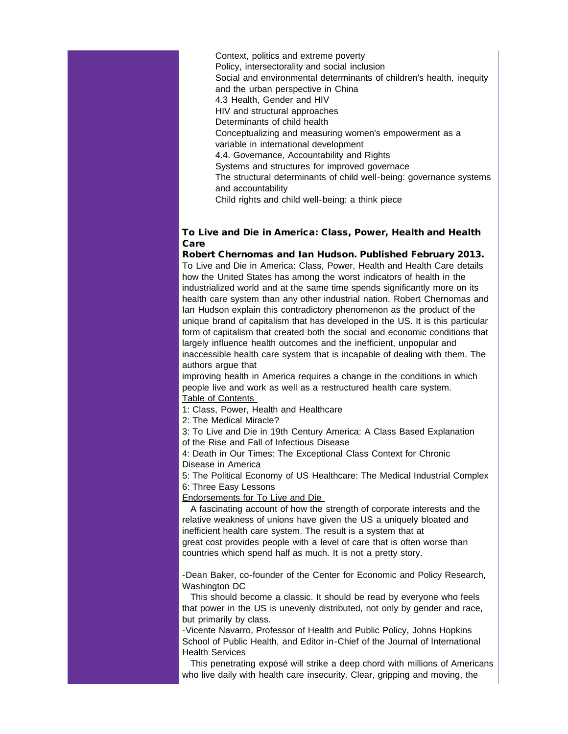Context, politics and extreme poverty Policy, intersectorality and social inclusion Social and environmental determinants of children's health, inequity and the urban perspective in China 4.3 Health, Gender and HIV HIV and structural approaches Determinants of child health Conceptualizing and measuring women's empowerment as a variable in international development 4.4. Governance, Accountability and Rights Systems and structures for improved governace The structural determinants of child well-being: governance systems and accountability Child rights and child well-being: a think piece

# To Live and Die in America: Class, Power, Health and Health Care

Robert Chernomas and Ian Hudson. Published February 2013. To Live and Die in America: Class, Power, Health and Health Care details how the United States has among the worst indicators of health in the industrialized world and at the same time spends significantly more on its health care system than any other industrial nation. Robert Chernomas and Ian Hudson explain this contradictory phenomenon as the product of the unique brand of capitalism that has developed in the US. It is this particular form of capitalism that created both the social and economic conditions that largely influence health outcomes and the inefficient, unpopular and

inaccessible health care system that is incapable of dealing with them. The authors argue that

improving health in America requires a change in the conditions in which people live and work as well as a restructured health care system. Table of Contents

1: Class, Power, Health and Healthcare

2: The Medical Miracle?

3: To Live and Die in 19th Century America: A Class Based Explanation of the Rise and Fall of Infectious Disease

4: Death in Our Times: The Exceptional Class Context for Chronic Disease in America

5: The Political Economy of US Healthcare: The Medical Industrial Complex 6: Three Easy Lessons

Endorsements for To Live and Die

 A fascinating account of how the strength of corporate interests and the relative weakness of unions have given the US a uniquely bloated and inefficient health care system. The result is a system that at great cost provides people with a level of care that is often worse than countries which spend half as much. It is not a pretty story.

-Dean Baker, co-founder of the Center for Economic and Policy Research, Washington DC

 This should become a classic. It should be read by everyone who feels that power in the US is unevenly distributed, not only by gender and race, but primarily by class.

-Vicente Navarro, Professor of Health and Public Policy, Johns Hopkins School of Public Health, and Editor in-Chief of the Journal of International Health Services

 This penetrating exposé will strike a deep chord with millions of Americans who live daily with health care insecurity. Clear, gripping and moving, the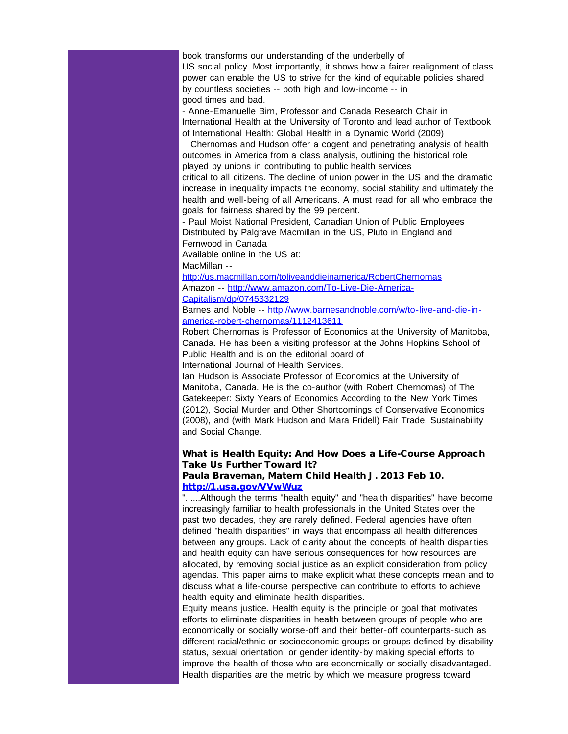book transforms our understanding of the underbelly of US social policy. Most importantly, it shows how a fairer realignment of class power can enable the US to strive for the kind of equitable policies shared by countless societies -- both high and low-income -- in good times and bad.

- Anne-Emanuelle Birn, Professor and Canada Research Chair in International Health at the University of Toronto and lead author of Textbook of International Health: Global Health in a Dynamic World (2009)

 Chernomas and Hudson offer a cogent and penetrating analysis of health outcomes in America from a class analysis, outlining the historical role played by unions in contributing to public health services

critical to all citizens. The decline of union power in the US and the dramatic increase in inequality impacts the economy, social stability and ultimately the health and well-being of all Americans. A must read for all who embrace the goals for fairness shared by the 99 percent.

- Paul Moist National President, Canadian Union of Public Employees Distributed by Palgrave Macmillan in the US, Pluto in England and Fernwood in Canada

Available online in the US at:

MacMillan --

[http://us.macmillan.com/toliveanddieinamerica/RobertChernomas](http://r20.rs6.net/tn.jsp?e=001ZfYkCAKYxvQDeVcg_J3Rrfz40aUPVt8mbfbkfxrTYOg5raiEopYN2jqM_RTSTuzxu3pdQibFvOmaHjkimOMkxuswR1XFpCjQhgO48sUITM4tRplVacUelahZFPvGOgK6tDxsOaDvZeKrL0lRRSP_RMdTHPFLLWN_) Amazon -- [http://www.amazon.com/To-Live-Die-America-](http://r20.rs6.net/tn.jsp?e=001ZfYkCAKYxvTR06umKQfVkp4luBF-vKyMVMPva0Ns0fB5Ij_p-6TL0dipvLxeZQqHWnS7yRjoJ5QEZX1AqvhVA3c442Ew3nufB3-Q9zK6aWg2URPncal7JH015zZ0TvWTE5X2nGrdp7ywTvlje1OFa5a8VRL_u0RjIFFeqQBUls4=)

[Capitalism/dp/0745332129](http://r20.rs6.net/tn.jsp?e=001ZfYkCAKYxvTR06umKQfVkp4luBF-vKyMVMPva0Ns0fB5Ij_p-6TL0dipvLxeZQqHWnS7yRjoJ5QEZX1AqvhVA3c442Ew3nufB3-Q9zK6aWg2URPncal7JH015zZ0TvWTE5X2nGrdp7ywTvlje1OFa5a8VRL_u0RjIFFeqQBUls4=)

Barnes and Noble -- [http://www.barnesandnoble.com/w/to-live-and-die-in](http://r20.rs6.net/tn.jsp?e=001ZfYkCAKYxvS6WiZf-5HuElfSd951FV7uz_vPonBOaBagziZ86bolmHHTRd3cNUbJGu095SxEK-anLiUuyEe_PnPbW36ApY9g2QI9E9SV7gwwtINl-M0aZxuIQOq4kF38EZTvgWEZLcXtekxkZi-AKYsUCO71wrZzK72l5-RJn7YikFhE6SNBJg0rYLDxPmCmXSoCseg2f-o=)[america-robert-chernomas/1112413611](http://r20.rs6.net/tn.jsp?e=001ZfYkCAKYxvS6WiZf-5HuElfSd951FV7uz_vPonBOaBagziZ86bolmHHTRd3cNUbJGu095SxEK-anLiUuyEe_PnPbW36ApY9g2QI9E9SV7gwwtINl-M0aZxuIQOq4kF38EZTvgWEZLcXtekxkZi-AKYsUCO71wrZzK72l5-RJn7YikFhE6SNBJg0rYLDxPmCmXSoCseg2f-o=)

Robert Chernomas is Professor of Economics at the University of Manitoba, Canada. He has been a visiting professor at the Johns Hopkins School of Public Health and is on the editorial board of

International Journal of Health Services.

Ian Hudson is Associate Professor of Economics at the University of Manitoba, Canada. He is the co-author (with Robert Chernomas) of The Gatekeeper: Sixty Years of Economics According to the New York Times (2012), Social Murder and Other Shortcomings of Conservative Economics (2008), and (with Mark Hudson and Mara Fridell) Fair Trade, Sustainability and Social Change.

# What is Health Equity: And How Does a Life-Course Approach Take Us Further Toward It?

## Paula Braveman, Matern Child Health J. 2013 Feb 10. [http://1.usa.gov/VVwWuz](http://r20.rs6.net/tn.jsp?e=001ZfYkCAKYxvT1dGjIv0fk23h80EyqB5SL_hmvsYtN762fbYUvsEaI3P8DjEbYP_vaLNPhcG2jHk2Rvsq4RSde7lNYc-PpBpy1SlNR1PLhn-Q=)

"......Although the terms "health equity" and "health disparities" have become increasingly familiar to health professionals in the United States over the past two decades, they are rarely defined. Federal agencies have often defined "health disparities" in ways that encompass all health differences between any groups. Lack of clarity about the concepts of health disparities and health equity can have serious consequences for how resources are allocated, by removing social justice as an explicit consideration from policy agendas. This paper aims to make explicit what these concepts mean and to discuss what a life-course perspective can contribute to efforts to achieve health equity and eliminate health disparities.

Equity means justice. Health equity is the principle or goal that motivates efforts to eliminate disparities in health between groups of people who are economically or socially worse-off and their better-off counterparts-such as different racial/ethnic or socioeconomic groups or groups defined by disability status, sexual orientation, or gender identity-by making special efforts to improve the health of those who are economically or socially disadvantaged. Health disparities are the metric by which we measure progress toward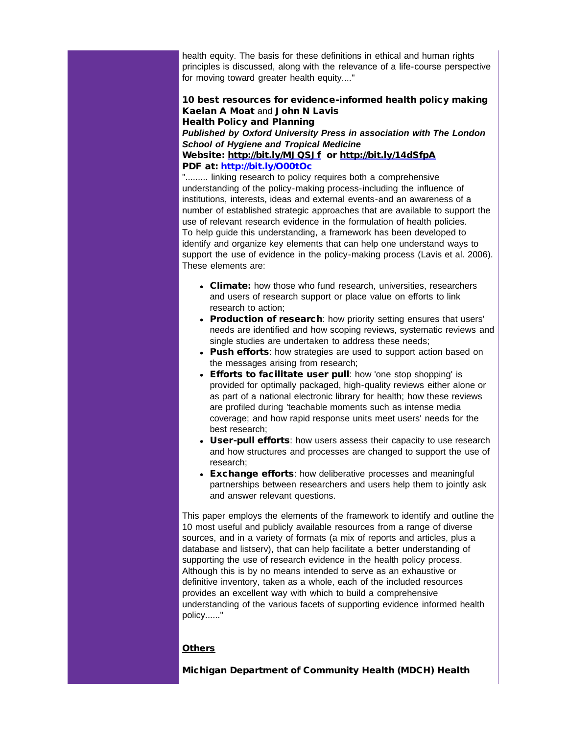health equity. The basis for these definitions in ethical and human rights principles is discussed, along with the relevance of a life-course perspective for moving toward greater health equity...."

#### 10 best resources for evidence-informed health policy making Kaelan A Moat and John N Lavis Health Policy and Planning

*Published by Oxford University Press in association with The London School of Hygiene and Tropical Medicine* Website: [http://bit.ly/MJQSJf](http://r20.rs6.net/tn.jsp?e=001ZfYkCAKYxvT1MEPo2RGaEb9DQBLFzls4HHEhRIEmCmTO8Jb6p4BAbcaG6nD1s-aYcGe3RC2p8_-mvlz-sDBYmlPXKGZsoCB2rniHXH4c4-0=) or [http://bit.ly/14dSfpA](http://r20.rs6.net/tn.jsp?e=001ZfYkCAKYxvQOi2VaPZB4mJJh7XcSIWTXXffeDNmwBaX-5wmFRCGo_AE7N1dPahghZfnju5wCYvPC2MXBLMFqF_OMftleaSP-WK2qLO29EUU=)

### PDF at: [http://bit.ly/O00tOc](http://r20.rs6.net/tn.jsp?e=001ZfYkCAKYxvRrtnI51rHdDBTCCTT6A9d_dStvTQMaX1yssD2dSviHTxI20g1FG9TsmW-UkJ3K2D349W1secJgs-uqE9chlLbXSFFtj4iaTIs=)

"......... linking research to policy requires both a comprehensive understanding of the policy-making process-including the influence of institutions, interests, ideas and external events-and an awareness of a number of established strategic approaches that are available to support the use of relevant research evidence in the formulation of health policies. To help guide this understanding, a framework has been developed to identify and organize key elements that can help one understand ways to support the use of evidence in the policy-making process (Lavis et al. 2006). These elements are:

- Climate: how those who fund research, universities, researchers and users of research support or place value on efforts to link research to action;
- Production of research: how priority setting ensures that users' needs are identified and how scoping reviews, systematic reviews and single studies are undertaken to address these needs;
- Push efforts: how strategies are used to support action based on the messages arising from research;
- Efforts to facilitate user pull: how 'one stop shopping' is provided for optimally packaged, high-quality reviews either alone or as part of a national electronic library for health; how these reviews are profiled during 'teachable moments such as intense media coverage; and how rapid response units meet users' needs for the best research;
- User-pull efforts: how users assess their capacity to use research and how structures and processes are changed to support the use of research;
- **Exchange efforts:** how deliberative processes and meaningful partnerships between researchers and users help them to jointly ask and answer relevant questions.

This paper employs the elements of the framework to identify and outline the 10 most useful and publicly available resources from a range of diverse sources, and in a variety of formats (a mix of reports and articles, plus a database and listserv), that can help facilitate a better understanding of supporting the use of research evidence in the health policy process. Although this is by no means intended to serve as an exhaustive or definitive inventory, taken as a whole, each of the included resources provides an excellent way with which to build a comprehensive understanding of the various facets of supporting evidence informed health policy......"

# **Others**

Michigan Department of Community Health (MDCH) Health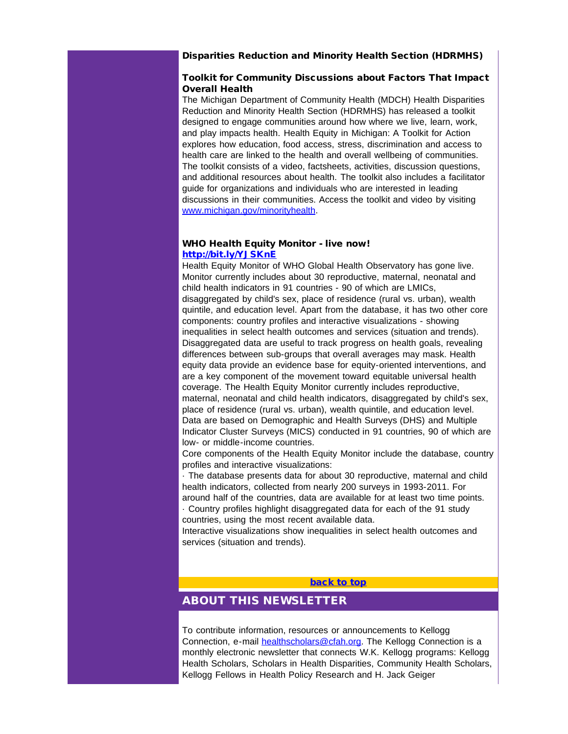## Disparities Reduction and Minority Health Section (HDRMHS)

### Toolkit for Community Discussions about Factors That Impact Overall Health

The Michigan Department of Community Health (MDCH) Health Disparities Reduction and Minority Health Section (HDRMHS) has released a toolkit designed to engage communities around how where we live, learn, work, and play impacts health. Health Equity in Michigan: A Toolkit for Action explores how education, food access, stress, discrimination and access to health care are linked to the health and overall wellbeing of communities. The toolkit consists of a video, factsheets, activities, discussion questions, and additional resources about health. The toolkit also includes a facilitator guide for organizations and individuals who are interested in leading discussions in their communities. Access the toolkit and video by visiting [www.michigan.gov/minorityhealth](http://r20.rs6.net/tn.jsp?e=001ZfYkCAKYxvQTnmUsZS9JgVpjvrqEZ2Eyk1NTL2OxaBAidNkq9qc_A_J-Y0XhMgBy-hAZ8cJ8qAGilt5Hg6E353eTsWQWj9yCxZTdvWp1LkqqCvTDkZLMJB-yyGD2uEZC).

### WHO Health Equity Monitor - live now! [http://bit.ly/YJSKnE](http://r20.rs6.net/tn.jsp?e=001ZfYkCAKYxvQDBX23ws6cIfd-WeCnYZKsDHY6oPZ0ee9Fso2NrXIRzlnhrn7SMEvFwJvUqWOvOD-A7LluAwkyX9KENTWqm8B9mRJb15mtAhU=)

Health Equity Monitor of WHO Global Health Observatory has gone live. Monitor currently includes about 30 reproductive, maternal, neonatal and child health indicators in 91 countries - 90 of which are LMICs, disaggregated by child's sex, place of residence (rural vs. urban), wealth quintile, and education level. Apart from the database, it has two other core components: country profiles and interactive visualizations - showing inequalities in select health outcomes and services (situation and trends). Disaggregated data are useful to track progress on health goals, revealing differences between sub-groups that overall averages may mask. Health equity data provide an evidence base for equity-oriented interventions, and are a key component of the movement toward equitable universal health coverage. The Health Equity Monitor currently includes reproductive, maternal, neonatal and child health indicators, disaggregated by child's sex, place of residence (rural vs. urban), wealth quintile, and education level. Data are based on Demographic and Health Surveys (DHS) and Multiple Indicator Cluster Surveys (MICS) conducted in 91 countries, 90 of which are low- or middle-income countries.

Core components of the Health Equity Monitor include the database, country profiles and interactive visualizations:

· The database presents data for about 30 reproductive, maternal and child health indicators, collected from nearly 200 surveys in 1993-2011. For around half of the countries, data are available for at least two time points.

· Country profiles highlight disaggregated data for each of the 91 study countries, using the most recent available data.

Interactive visualizations show inequalities in select health outcomes and services (situation and trends).

#### [back to top](#page-0-3)

# ABOUT THIS NEWSLETTER

To contribute information, resources or announcements to Kellogg Connection, e-mail [healthscholars@cfah.org](mailto:healthscholars@cfah.org). The Kellogg Connection is a monthly electronic newsletter that connects W.K. Kellogg programs: Kellogg Health Scholars, Scholars in Health Disparities, Community Health Scholars, Kellogg Fellows in Health Policy Research and H. Jack Geiger